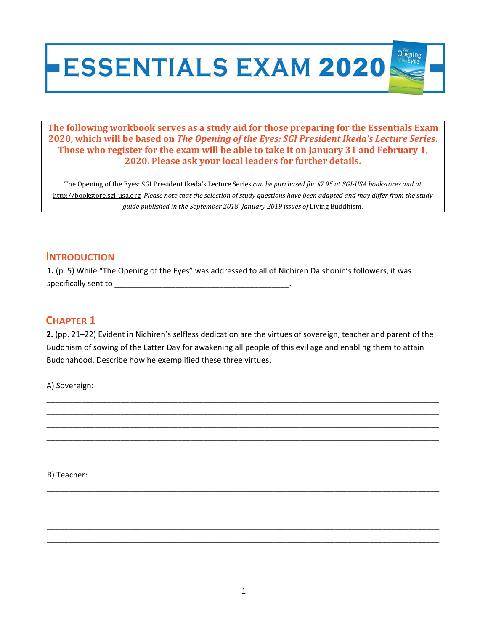# **ESSENTIALS EXAM 2020**

**The following workbook serves as a study aid for those preparing for the Essentials Exam 2020, which will be based on** *The Opening of the Eyes: SGI President Ikeda's Lecture Series***. Those who register for the exam will be able to take it on January 31 and February 1, 2020. Please ask your local leaders for further details.**

The Opening of the Eyes: SGI President Ikeda's Lecture Series *can be purchased for \$7.95 at SGI‐USA bookstores and at* http://bookstore.sgi-usa.org. Please note that the selection of study questions have been adapted and may differ from the study *guide published in the September 2018–January 2019 issues of* Living Buddhism*.*

#### **INTRODUCTION**

**1.** (p. 5) While "The Opening of the Eyes" was addressed to all of Nichiren Daishonin's followers, it was specifically sent to \_\_\_\_\_\_\_\_\_\_\_\_\_\_\_\_\_\_\_\_\_\_\_\_\_\_\_\_\_\_\_\_\_\_\_\_\_\_\_\_.

## **CHAPTER 1**

**2.** (pp. 21–22) Evident in Nichiren's selfless dedication are the virtues of sovereign, teacher and parent of the Buddhism of sowing of the Latter Day for awakening all people of this evil age and enabling them to attain Buddhahood. Describe how he exemplified these three virtues.

\_\_\_\_\_\_\_\_\_\_\_\_\_\_\_\_\_\_\_\_\_\_\_\_\_\_\_\_\_\_\_\_\_\_\_\_\_\_\_\_\_\_\_\_\_\_\_\_\_\_\_\_\_\_\_\_\_\_\_\_\_\_\_\_\_\_\_\_\_\_\_\_\_\_\_\_\_\_\_\_\_\_\_\_\_\_\_\_\_\_ \_\_\_\_\_\_\_\_\_\_\_\_\_\_\_\_\_\_\_\_\_\_\_\_\_\_\_\_\_\_\_\_\_\_\_\_\_\_\_\_\_\_\_\_\_\_\_\_\_\_\_\_\_\_\_\_\_\_\_\_\_\_\_\_\_\_\_\_\_\_\_\_\_\_\_\_\_\_\_\_\_\_\_\_\_\_\_\_\_\_ \_\_\_\_\_\_\_\_\_\_\_\_\_\_\_\_\_\_\_\_\_\_\_\_\_\_\_\_\_\_\_\_\_\_\_\_\_\_\_\_\_\_\_\_\_\_\_\_\_\_\_\_\_\_\_\_\_\_\_\_\_\_\_\_\_\_\_\_\_\_\_\_\_\_\_\_\_\_\_\_\_\_\_\_\_\_\_\_\_\_ \_\_\_\_\_\_\_\_\_\_\_\_\_\_\_\_\_\_\_\_\_\_\_\_\_\_\_\_\_\_\_\_\_\_\_\_\_\_\_\_\_\_\_\_\_\_\_\_\_\_\_\_\_\_\_\_\_\_\_\_\_\_\_\_\_\_\_\_\_\_\_\_\_\_\_\_\_\_\_\_\_\_\_\_\_\_\_\_\_\_ \_\_\_\_\_\_\_\_\_\_\_\_\_\_\_\_\_\_\_\_\_\_\_\_\_\_\_\_\_\_\_\_\_\_\_\_\_\_\_\_\_\_\_\_\_\_\_\_\_\_\_\_\_\_\_\_\_\_\_\_\_\_\_\_\_\_\_\_\_\_\_\_\_\_\_\_\_\_\_\_\_\_\_\_\_\_\_\_\_\_

\_\_\_\_\_\_\_\_\_\_\_\_\_\_\_\_\_\_\_\_\_\_\_\_\_\_\_\_\_\_\_\_\_\_\_\_\_\_\_\_\_\_\_\_\_\_\_\_\_\_\_\_\_\_\_\_\_\_\_\_\_\_\_\_\_\_\_\_\_\_\_\_\_\_\_\_\_\_\_\_\_\_\_\_\_\_\_\_\_\_ \_\_\_\_\_\_\_\_\_\_\_\_\_\_\_\_\_\_\_\_\_\_\_\_\_\_\_\_\_\_\_\_\_\_\_\_\_\_\_\_\_\_\_\_\_\_\_\_\_\_\_\_\_\_\_\_\_\_\_\_\_\_\_\_\_\_\_\_\_\_\_\_\_\_\_\_\_\_\_\_\_\_\_\_\_\_\_\_\_\_ \_\_\_\_\_\_\_\_\_\_\_\_\_\_\_\_\_\_\_\_\_\_\_\_\_\_\_\_\_\_\_\_\_\_\_\_\_\_\_\_\_\_\_\_\_\_\_\_\_\_\_\_\_\_\_\_\_\_\_\_\_\_\_\_\_\_\_\_\_\_\_\_\_\_\_\_\_\_\_\_\_\_\_\_\_\_\_\_\_\_ \_\_\_\_\_\_\_\_\_\_\_\_\_\_\_\_\_\_\_\_\_\_\_\_\_\_\_\_\_\_\_\_\_\_\_\_\_\_\_\_\_\_\_\_\_\_\_\_\_\_\_\_\_\_\_\_\_\_\_\_\_\_\_\_\_\_\_\_\_\_\_\_\_\_\_\_\_\_\_\_\_\_\_\_\_\_\_\_\_\_ \_\_\_\_\_\_\_\_\_\_\_\_\_\_\_\_\_\_\_\_\_\_\_\_\_\_\_\_\_\_\_\_\_\_\_\_\_\_\_\_\_\_\_\_\_\_\_\_\_\_\_\_\_\_\_\_\_\_\_\_\_\_\_\_\_\_\_\_\_\_\_\_\_\_\_\_\_\_\_\_\_\_\_\_\_\_\_\_\_\_

A) Sovereign:

B) Teacher: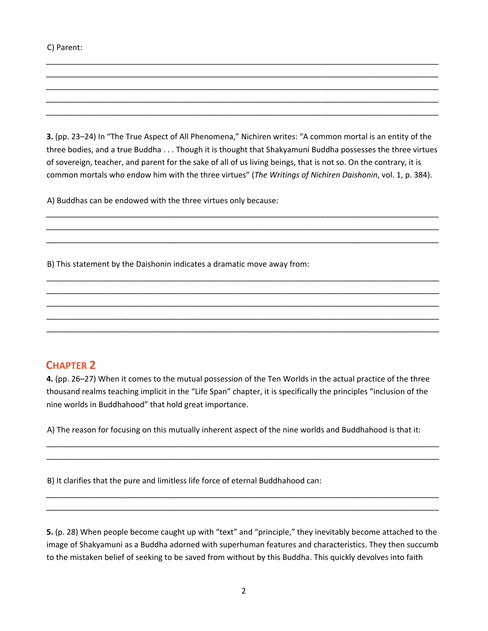#### C) Parent:

**3.** (pp. 23–24) In "The True Aspect of All Phenomena," Nichiren writes: "A common mortal is an entity of the three bodies, and a true Buddha . . . Though it is thought that Shakyamuni Buddha possesses the three virtues of sovereign, teacher, and parent for the sake of all of us living beings, that is not so. On the contrary, it is common mortals who endow him with the three virtues" (*The Writings of Nichiren Daishonin*, vol. 1, p. 384).

\_\_\_\_\_\_\_\_\_\_\_\_\_\_\_\_\_\_\_\_\_\_\_\_\_\_\_\_\_\_\_\_\_\_\_\_\_\_\_\_\_\_\_\_\_\_\_\_\_\_\_\_\_\_\_\_\_\_\_\_\_\_\_\_\_\_\_\_\_\_\_\_\_\_\_\_\_\_\_\_\_\_\_\_\_\_\_\_\_\_ \_\_\_\_\_\_\_\_\_\_\_\_\_\_\_\_\_\_\_\_\_\_\_\_\_\_\_\_\_\_\_\_\_\_\_\_\_\_\_\_\_\_\_\_\_\_\_\_\_\_\_\_\_\_\_\_\_\_\_\_\_\_\_\_\_\_\_\_\_\_\_\_\_\_\_\_\_\_\_\_\_\_\_\_\_\_\_\_\_\_ \_\_\_\_\_\_\_\_\_\_\_\_\_\_\_\_\_\_\_\_\_\_\_\_\_\_\_\_\_\_\_\_\_\_\_\_\_\_\_\_\_\_\_\_\_\_\_\_\_\_\_\_\_\_\_\_\_\_\_\_\_\_\_\_\_\_\_\_\_\_\_\_\_\_\_\_\_\_\_\_\_\_\_\_\_\_\_\_\_\_

\_\_\_\_\_\_\_\_\_\_\_\_\_\_\_\_\_\_\_\_\_\_\_\_\_\_\_\_\_\_\_\_\_\_\_\_\_\_\_\_\_\_\_\_\_\_\_\_\_\_\_\_\_\_\_\_\_\_\_\_\_\_\_\_\_\_\_\_\_\_\_\_\_\_\_\_\_\_\_\_\_\_\_\_\_\_\_\_\_\_ \_\_\_\_\_\_\_\_\_\_\_\_\_\_\_\_\_\_\_\_\_\_\_\_\_\_\_\_\_\_\_\_\_\_\_\_\_\_\_\_\_\_\_\_\_\_\_\_\_\_\_\_\_\_\_\_\_\_\_\_\_\_\_\_\_\_\_\_\_\_\_\_\_\_\_\_\_\_\_\_\_\_\_\_\_\_\_\_\_\_ \_\_\_\_\_\_\_\_\_\_\_\_\_\_\_\_\_\_\_\_\_\_\_\_\_\_\_\_\_\_\_\_\_\_\_\_\_\_\_\_\_\_\_\_\_\_\_\_\_\_\_\_\_\_\_\_\_\_\_\_\_\_\_\_\_\_\_\_\_\_\_\_\_\_\_\_\_\_\_\_\_\_\_\_\_\_\_\_\_\_ \_\_\_\_\_\_\_\_\_\_\_\_\_\_\_\_\_\_\_\_\_\_\_\_\_\_\_\_\_\_\_\_\_\_\_\_\_\_\_\_\_\_\_\_\_\_\_\_\_\_\_\_\_\_\_\_\_\_\_\_\_\_\_\_\_\_\_\_\_\_\_\_\_\_\_\_\_\_\_\_\_\_\_\_\_\_\_\_\_\_ \_\_\_\_\_\_\_\_\_\_\_\_\_\_\_\_\_\_\_\_\_\_\_\_\_\_\_\_\_\_\_\_\_\_\_\_\_\_\_\_\_\_\_\_\_\_\_\_\_\_\_\_\_\_\_\_\_\_\_\_\_\_\_\_\_\_\_\_\_\_\_\_\_\_\_\_\_\_\_\_\_\_\_\_\_\_\_\_\_\_

\_\_\_\_\_\_\_\_\_\_\_\_\_\_\_\_\_\_\_\_\_\_\_\_\_\_\_\_\_\_\_\_\_\_\_\_\_\_\_\_\_\_\_\_\_\_\_\_\_\_\_\_\_\_\_\_\_\_\_\_\_\_\_\_\_\_\_\_\_\_\_\_\_\_\_\_\_\_\_\_\_\_\_\_\_\_\_\_\_\_ \_\_\_\_\_\_\_\_\_\_\_\_\_\_\_\_\_\_\_\_\_\_\_\_\_\_\_\_\_\_\_\_\_\_\_\_\_\_\_\_\_\_\_\_\_\_\_\_\_\_\_\_\_\_\_\_\_\_\_\_\_\_\_\_\_\_\_\_\_\_\_\_\_\_\_\_\_\_\_\_\_\_\_\_\_\_\_\_\_\_ \_\_\_\_\_\_\_\_\_\_\_\_\_\_\_\_\_\_\_\_\_\_\_\_\_\_\_\_\_\_\_\_\_\_\_\_\_\_\_\_\_\_\_\_\_\_\_\_\_\_\_\_\_\_\_\_\_\_\_\_\_\_\_\_\_\_\_\_\_\_\_\_\_\_\_\_\_\_\_\_\_\_\_\_\_\_\_\_\_\_ \_\_\_\_\_\_\_\_\_\_\_\_\_\_\_\_\_\_\_\_\_\_\_\_\_\_\_\_\_\_\_\_\_\_\_\_\_\_\_\_\_\_\_\_\_\_\_\_\_\_\_\_\_\_\_\_\_\_\_\_\_\_\_\_\_\_\_\_\_\_\_\_\_\_\_\_\_\_\_\_\_\_\_\_\_\_\_\_\_\_ \_\_\_\_\_\_\_\_\_\_\_\_\_\_\_\_\_\_\_\_\_\_\_\_\_\_\_\_\_\_\_\_\_\_\_\_\_\_\_\_\_\_\_\_\_\_\_\_\_\_\_\_\_\_\_\_\_\_\_\_\_\_\_\_\_\_\_\_\_\_\_\_\_\_\_\_\_\_\_\_\_\_\_\_\_\_\_\_\_\_

A) Buddhas can be endowed with the three virtues only because:

B) This statement by the Daishonin indicates a dramatic move away from:

#### **CHAPTER 2**

**4.** (pp. 26–27) When it comes to the mutual possession of the Ten Worlds in the actual practice of the three thousand realms teaching implicit in the "Life Span" chapter, it is specifically the principles "inclusion of the nine worlds in Buddhahood" that hold great importance.

A) The reason for focusing on this mutually inherent aspect of the nine worlds and Buddhahood is that it:

\_\_\_\_\_\_\_\_\_\_\_\_\_\_\_\_\_\_\_\_\_\_\_\_\_\_\_\_\_\_\_\_\_\_\_\_\_\_\_\_\_\_\_\_\_\_\_\_\_\_\_\_\_\_\_\_\_\_\_\_\_\_\_\_\_\_\_\_\_\_\_\_\_\_\_\_\_\_\_\_\_\_\_\_\_\_\_\_\_\_ \_\_\_\_\_\_\_\_\_\_\_\_\_\_\_\_\_\_\_\_\_\_\_\_\_\_\_\_\_\_\_\_\_\_\_\_\_\_\_\_\_\_\_\_\_\_\_\_\_\_\_\_\_\_\_\_\_\_\_\_\_\_\_\_\_\_\_\_\_\_\_\_\_\_\_\_\_\_\_\_\_\_\_\_\_\_\_\_\_\_

\_\_\_\_\_\_\_\_\_\_\_\_\_\_\_\_\_\_\_\_\_\_\_\_\_\_\_\_\_\_\_\_\_\_\_\_\_\_\_\_\_\_\_\_\_\_\_\_\_\_\_\_\_\_\_\_\_\_\_\_\_\_\_\_\_\_\_\_\_\_\_\_\_\_\_\_\_\_\_\_\_\_\_\_\_\_\_\_\_\_ \_\_\_\_\_\_\_\_\_\_\_\_\_\_\_\_\_\_\_\_\_\_\_\_\_\_\_\_\_\_\_\_\_\_\_\_\_\_\_\_\_\_\_\_\_\_\_\_\_\_\_\_\_\_\_\_\_\_\_\_\_\_\_\_\_\_\_\_\_\_\_\_\_\_\_\_\_\_\_\_\_\_\_\_\_\_\_\_\_\_

B) It clarifies that the pure and limitless life force of eternal Buddhahood can:

**5.** (p. 28) When people become caught up with "text" and "principle," they inevitably become attached to the image of Shakyamuni as a Buddha adorned with superhuman features and characteristics. They then succumb to the mistaken belief of seeking to be saved from without by this Buddha. This quickly devolves into faith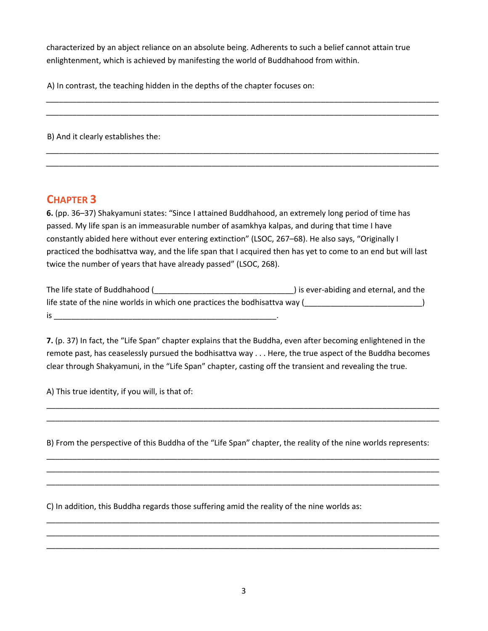characterized by an abject reliance on an absolute being. Adherents to such a belief cannot attain true enlightenment, which is achieved by manifesting the world of Buddhahood from within.

\_\_\_\_\_\_\_\_\_\_\_\_\_\_\_\_\_\_\_\_\_\_\_\_\_\_\_\_\_\_\_\_\_\_\_\_\_\_\_\_\_\_\_\_\_\_\_\_\_\_\_\_\_\_\_\_\_\_\_\_\_\_\_\_\_\_\_\_\_\_\_\_\_\_\_\_\_\_\_\_\_\_\_\_\_\_\_\_\_\_ \_\_\_\_\_\_\_\_\_\_\_\_\_\_\_\_\_\_\_\_\_\_\_\_\_\_\_\_\_\_\_\_\_\_\_\_\_\_\_\_\_\_\_\_\_\_\_\_\_\_\_\_\_\_\_\_\_\_\_\_\_\_\_\_\_\_\_\_\_\_\_\_\_\_\_\_\_\_\_\_\_\_\_\_\_\_\_\_\_\_

\_\_\_\_\_\_\_\_\_\_\_\_\_\_\_\_\_\_\_\_\_\_\_\_\_\_\_\_\_\_\_\_\_\_\_\_\_\_\_\_\_\_\_\_\_\_\_\_\_\_\_\_\_\_\_\_\_\_\_\_\_\_\_\_\_\_\_\_\_\_\_\_\_\_\_\_\_\_\_\_\_\_\_\_\_\_\_\_\_\_ \_\_\_\_\_\_\_\_\_\_\_\_\_\_\_\_\_\_\_\_\_\_\_\_\_\_\_\_\_\_\_\_\_\_\_\_\_\_\_\_\_\_\_\_\_\_\_\_\_\_\_\_\_\_\_\_\_\_\_\_\_\_\_\_\_\_\_\_\_\_\_\_\_\_\_\_\_\_\_\_\_\_\_\_\_\_\_\_\_\_

A) In contrast, the teaching hidden in the depths of the chapter focuses on:

B) And it clearly establishes the:

## **CHAPTER 3**

**6.** (pp. 36–37) Shakyamuni states: "Since I attained Buddhahood, an extremely long period of time has passed. My life span is an immeasurable number of asamkhya kalpas, and during that time I have constantly abided here without ever entering extinction" (LSOC, 267–68). He also says, "Originally I practiced the bodhisattva way, and the life span that I acquired then has yet to come to an end but will last twice the number of years that have already passed" (LSOC, 268).

The life state of Buddhahood (\_\_\_\_\_\_\_\_\_\_\_\_\_\_\_\_\_\_\_\_\_\_\_\_\_\_\_\_\_\_\_\_) is ever‐abiding and eternal, and the life state of the nine worlds in which one practices the bodhisattva way (  $is$ 

**7.** (p. 37) In fact, the "Life Span" chapter explains that the Buddha, even after becoming enlightened in the remote past, has ceaselessly pursued the bodhisattva way . . . Here, the true aspect of the Buddha becomes clear through Shakyamuni, in the "Life Span" chapter, casting off the transient and revealing the true.

A) This true identity, if you will, is that of:

B) From the perspective of this Buddha of the "Life Span" chapter, the reality of the nine worlds represents:

\_\_\_\_\_\_\_\_\_\_\_\_\_\_\_\_\_\_\_\_\_\_\_\_\_\_\_\_\_\_\_\_\_\_\_\_\_\_\_\_\_\_\_\_\_\_\_\_\_\_\_\_\_\_\_\_\_\_\_\_\_\_\_\_\_\_\_\_\_\_\_\_\_\_\_\_\_\_\_\_\_\_\_\_\_\_\_\_\_\_ \_\_\_\_\_\_\_\_\_\_\_\_\_\_\_\_\_\_\_\_\_\_\_\_\_\_\_\_\_\_\_\_\_\_\_\_\_\_\_\_\_\_\_\_\_\_\_\_\_\_\_\_\_\_\_\_\_\_\_\_\_\_\_\_\_\_\_\_\_\_\_\_\_\_\_\_\_\_\_\_\_\_\_\_\_\_\_\_\_\_ \_\_\_\_\_\_\_\_\_\_\_\_\_\_\_\_\_\_\_\_\_\_\_\_\_\_\_\_\_\_\_\_\_\_\_\_\_\_\_\_\_\_\_\_\_\_\_\_\_\_\_\_\_\_\_\_\_\_\_\_\_\_\_\_\_\_\_\_\_\_\_\_\_\_\_\_\_\_\_\_\_\_\_\_\_\_\_\_\_\_

\_\_\_\_\_\_\_\_\_\_\_\_\_\_\_\_\_\_\_\_\_\_\_\_\_\_\_\_\_\_\_\_\_\_\_\_\_\_\_\_\_\_\_\_\_\_\_\_\_\_\_\_\_\_\_\_\_\_\_\_\_\_\_\_\_\_\_\_\_\_\_\_\_\_\_\_\_\_\_\_\_\_\_\_\_\_\_\_\_\_ \_\_\_\_\_\_\_\_\_\_\_\_\_\_\_\_\_\_\_\_\_\_\_\_\_\_\_\_\_\_\_\_\_\_\_\_\_\_\_\_\_\_\_\_\_\_\_\_\_\_\_\_\_\_\_\_\_\_\_\_\_\_\_\_\_\_\_\_\_\_\_\_\_\_\_\_\_\_\_\_\_\_\_\_\_\_\_\_\_\_ \_\_\_\_\_\_\_\_\_\_\_\_\_\_\_\_\_\_\_\_\_\_\_\_\_\_\_\_\_\_\_\_\_\_\_\_\_\_\_\_\_\_\_\_\_\_\_\_\_\_\_\_\_\_\_\_\_\_\_\_\_\_\_\_\_\_\_\_\_\_\_\_\_\_\_\_\_\_\_\_\_\_\_\_\_\_\_\_\_\_

\_\_\_\_\_\_\_\_\_\_\_\_\_\_\_\_\_\_\_\_\_\_\_\_\_\_\_\_\_\_\_\_\_\_\_\_\_\_\_\_\_\_\_\_\_\_\_\_\_\_\_\_\_\_\_\_\_\_\_\_\_\_\_\_\_\_\_\_\_\_\_\_\_\_\_\_\_\_\_\_\_\_\_\_\_\_\_\_\_\_ \_\_\_\_\_\_\_\_\_\_\_\_\_\_\_\_\_\_\_\_\_\_\_\_\_\_\_\_\_\_\_\_\_\_\_\_\_\_\_\_\_\_\_\_\_\_\_\_\_\_\_\_\_\_\_\_\_\_\_\_\_\_\_\_\_\_\_\_\_\_\_\_\_\_\_\_\_\_\_\_\_\_\_\_\_\_\_\_\_\_

C) In addition, this Buddha regards those suffering amid the reality of the nine worlds as: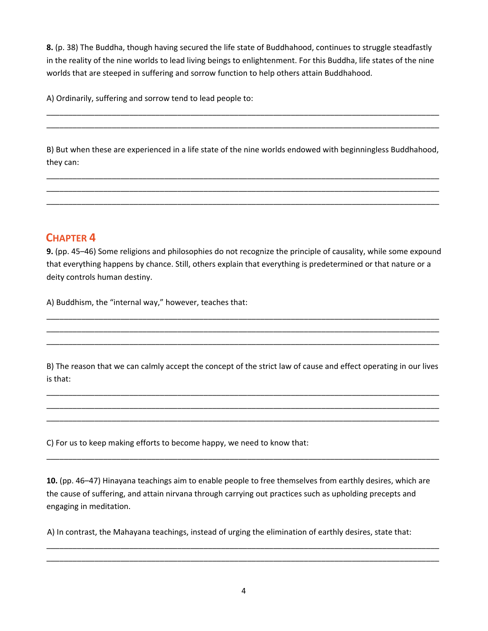**8.** (p. 38) The Buddha, though having secured the life state of Buddhahood, continues to struggle steadfastly in the reality of the nine worlds to lead living beings to enlightenment. For this Buddha, life states of the nine worlds that are steeped in suffering and sorrow function to help others attain Buddhahood.

A) Ordinarily, suffering and sorrow tend to lead people to:

B) But when these are experienced in a life state of the nine worlds endowed with beginningless Buddhahood, they can:

\_\_\_\_\_\_\_\_\_\_\_\_\_\_\_\_\_\_\_\_\_\_\_\_\_\_\_\_\_\_\_\_\_\_\_\_\_\_\_\_\_\_\_\_\_\_\_\_\_\_\_\_\_\_\_\_\_\_\_\_\_\_\_\_\_\_\_\_\_\_\_\_\_\_\_\_\_\_\_\_\_\_\_\_\_\_\_\_\_\_ \_\_\_\_\_\_\_\_\_\_\_\_\_\_\_\_\_\_\_\_\_\_\_\_\_\_\_\_\_\_\_\_\_\_\_\_\_\_\_\_\_\_\_\_\_\_\_\_\_\_\_\_\_\_\_\_\_\_\_\_\_\_\_\_\_\_\_\_\_\_\_\_\_\_\_\_\_\_\_\_\_\_\_\_\_\_\_\_\_\_ \_\_\_\_\_\_\_\_\_\_\_\_\_\_\_\_\_\_\_\_\_\_\_\_\_\_\_\_\_\_\_\_\_\_\_\_\_\_\_\_\_\_\_\_\_\_\_\_\_\_\_\_\_\_\_\_\_\_\_\_\_\_\_\_\_\_\_\_\_\_\_\_\_\_\_\_\_\_\_\_\_\_\_\_\_\_\_\_\_\_

\_\_\_\_\_\_\_\_\_\_\_\_\_\_\_\_\_\_\_\_\_\_\_\_\_\_\_\_\_\_\_\_\_\_\_\_\_\_\_\_\_\_\_\_\_\_\_\_\_\_\_\_\_\_\_\_\_\_\_\_\_\_\_\_\_\_\_\_\_\_\_\_\_\_\_\_\_\_\_\_\_\_\_\_\_\_\_\_\_\_ \_\_\_\_\_\_\_\_\_\_\_\_\_\_\_\_\_\_\_\_\_\_\_\_\_\_\_\_\_\_\_\_\_\_\_\_\_\_\_\_\_\_\_\_\_\_\_\_\_\_\_\_\_\_\_\_\_\_\_\_\_\_\_\_\_\_\_\_\_\_\_\_\_\_\_\_\_\_\_\_\_\_\_\_\_\_\_\_\_\_

## **CHAPTER 4**

**9.** (pp. 45–46) Some religions and philosophies do not recognize the principle of causality, while some expound that everything happens by chance. Still, others explain that everything is predetermined or that nature or a deity controls human destiny.

A) Buddhism, the "internal way," however, teaches that:

B) The reason that we can calmly accept the concept of the strict law of cause and effect operating in our lives is that:

\_\_\_\_\_\_\_\_\_\_\_\_\_\_\_\_\_\_\_\_\_\_\_\_\_\_\_\_\_\_\_\_\_\_\_\_\_\_\_\_\_\_\_\_\_\_\_\_\_\_\_\_\_\_\_\_\_\_\_\_\_\_\_\_\_\_\_\_\_\_\_\_\_\_\_\_\_\_\_\_\_\_\_\_\_\_\_\_\_\_ \_\_\_\_\_\_\_\_\_\_\_\_\_\_\_\_\_\_\_\_\_\_\_\_\_\_\_\_\_\_\_\_\_\_\_\_\_\_\_\_\_\_\_\_\_\_\_\_\_\_\_\_\_\_\_\_\_\_\_\_\_\_\_\_\_\_\_\_\_\_\_\_\_\_\_\_\_\_\_\_\_\_\_\_\_\_\_\_\_\_ \_\_\_\_\_\_\_\_\_\_\_\_\_\_\_\_\_\_\_\_\_\_\_\_\_\_\_\_\_\_\_\_\_\_\_\_\_\_\_\_\_\_\_\_\_\_\_\_\_\_\_\_\_\_\_\_\_\_\_\_\_\_\_\_\_\_\_\_\_\_\_\_\_\_\_\_\_\_\_\_\_\_\_\_\_\_\_\_\_\_

\_\_\_\_\_\_\_\_\_\_\_\_\_\_\_\_\_\_\_\_\_\_\_\_\_\_\_\_\_\_\_\_\_\_\_\_\_\_\_\_\_\_\_\_\_\_\_\_\_\_\_\_\_\_\_\_\_\_\_\_\_\_\_\_\_\_\_\_\_\_\_\_\_\_\_\_\_\_\_\_\_\_\_\_\_\_\_\_\_\_ \_\_\_\_\_\_\_\_\_\_\_\_\_\_\_\_\_\_\_\_\_\_\_\_\_\_\_\_\_\_\_\_\_\_\_\_\_\_\_\_\_\_\_\_\_\_\_\_\_\_\_\_\_\_\_\_\_\_\_\_\_\_\_\_\_\_\_\_\_\_\_\_\_\_\_\_\_\_\_\_\_\_\_\_\_\_\_\_\_\_ \_\_\_\_\_\_\_\_\_\_\_\_\_\_\_\_\_\_\_\_\_\_\_\_\_\_\_\_\_\_\_\_\_\_\_\_\_\_\_\_\_\_\_\_\_\_\_\_\_\_\_\_\_\_\_\_\_\_\_\_\_\_\_\_\_\_\_\_\_\_\_\_\_\_\_\_\_\_\_\_\_\_\_\_\_\_\_\_\_\_

C) For us to keep making efforts to become happy, we need to know that:

**10.** (pp. 46–47) Hinayana teachings aim to enable people to free themselves from earthly desires, which are the cause of suffering, and attain nirvana through carrying out practices such as upholding precepts and engaging in meditation.

\_\_\_\_\_\_\_\_\_\_\_\_\_\_\_\_\_\_\_\_\_\_\_\_\_\_\_\_\_\_\_\_\_\_\_\_\_\_\_\_\_\_\_\_\_\_\_\_\_\_\_\_\_\_\_\_\_\_\_\_\_\_\_\_\_\_\_\_\_\_\_\_\_\_\_\_\_\_\_\_\_\_\_\_\_\_\_\_\_\_

A) In contrast, the Mahayana teachings, instead of urging the elimination of earthly desires, state that:

\_\_\_\_\_\_\_\_\_\_\_\_\_\_\_\_\_\_\_\_\_\_\_\_\_\_\_\_\_\_\_\_\_\_\_\_\_\_\_\_\_\_\_\_\_\_\_\_\_\_\_\_\_\_\_\_\_\_\_\_\_\_\_\_\_\_\_\_\_\_\_\_\_\_\_\_\_\_\_\_\_\_\_\_\_\_\_\_\_\_ \_\_\_\_\_\_\_\_\_\_\_\_\_\_\_\_\_\_\_\_\_\_\_\_\_\_\_\_\_\_\_\_\_\_\_\_\_\_\_\_\_\_\_\_\_\_\_\_\_\_\_\_\_\_\_\_\_\_\_\_\_\_\_\_\_\_\_\_\_\_\_\_\_\_\_\_\_\_\_\_\_\_\_\_\_\_\_\_\_\_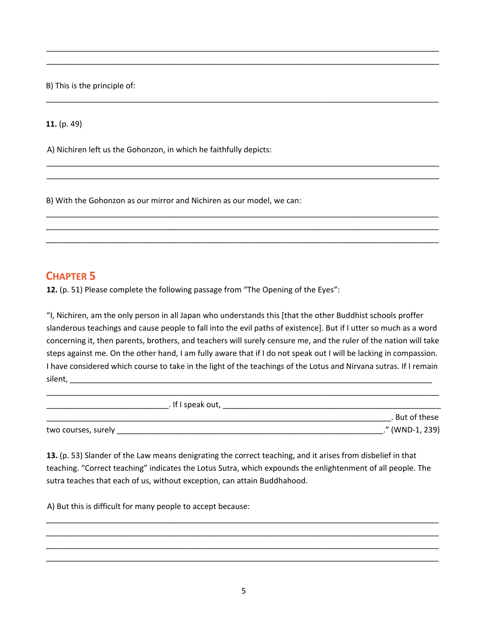B) This is the principle of:

**11.** (p. 49)

A) Nichiren left us the Gohonzon, in which he faithfully depicts:

B) With the Gohonzon as our mirror and Nichiren as our model, we can:

#### **CHAPTER 5**

**12.** (p. 51) Please complete the following passage from "The Opening of the Eyes":

"I, Nichiren, am the only person in all Japan who understands this [that the other Buddhist schools proffer slanderous teachings and cause people to fall into the evil paths of existence]. But if I utter so much as a word concerning it, then parents, brothers, and teachers will surely censure me, and the ruler of the nation will take steps against me. On the other hand, I am fully aware that if I do not speak out I will be lacking in compassion. I have considered which course to take in the light of the teachings of the Lotus and Nirvana sutras. If I remain silent, \_\_\_\_\_\_\_\_\_\_\_\_\_\_\_\_\_\_\_\_\_\_\_\_\_\_\_\_\_\_\_\_\_\_\_\_\_\_\_\_\_\_\_\_\_\_\_\_\_\_\_\_\_\_\_\_\_\_\_\_\_\_\_\_\_\_\_\_\_\_\_\_\_\_\_\_\_\_\_\_\_\_\_

\_\_\_\_\_\_\_\_\_\_\_\_\_\_\_\_\_\_\_\_\_\_\_\_\_\_\_\_\_\_\_\_\_\_\_\_\_\_\_\_\_\_\_\_\_\_\_\_\_\_\_\_\_\_\_\_\_\_\_\_\_\_\_\_\_\_\_\_\_\_\_\_\_\_\_\_\_\_\_\_\_\_\_\_\_\_\_\_\_\_ \_\_\_\_\_\_\_\_\_\_\_\_\_\_\_\_\_\_\_\_\_\_\_\_\_\_\_\_\_\_\_\_\_\_\_\_\_\_\_\_\_\_\_\_\_\_\_\_\_\_\_\_\_\_\_\_\_\_\_\_\_\_\_\_\_\_\_\_\_\_\_\_\_\_\_\_\_\_\_\_\_\_\_\_\_\_\_\_\_\_

\_\_\_\_\_\_\_\_\_\_\_\_\_\_\_\_\_\_\_\_\_\_\_\_\_\_\_\_\_\_\_\_\_\_\_\_\_\_\_\_\_\_\_\_\_\_\_\_\_\_\_\_\_\_\_\_\_\_\_\_\_\_\_\_\_\_\_\_\_\_\_\_\_\_\_\_\_\_\_\_\_\_\_\_\_\_\_\_\_\_

\_\_\_\_\_\_\_\_\_\_\_\_\_\_\_\_\_\_\_\_\_\_\_\_\_\_\_\_\_\_\_\_\_\_\_\_\_\_\_\_\_\_\_\_\_\_\_\_\_\_\_\_\_\_\_\_\_\_\_\_\_\_\_\_\_\_\_\_\_\_\_\_\_\_\_\_\_\_\_\_\_\_\_\_\_\_\_\_\_\_ \_\_\_\_\_\_\_\_\_\_\_\_\_\_\_\_\_\_\_\_\_\_\_\_\_\_\_\_\_\_\_\_\_\_\_\_\_\_\_\_\_\_\_\_\_\_\_\_\_\_\_\_\_\_\_\_\_\_\_\_\_\_\_\_\_\_\_\_\_\_\_\_\_\_\_\_\_\_\_\_\_\_\_\_\_\_\_\_\_\_

\_\_\_\_\_\_\_\_\_\_\_\_\_\_\_\_\_\_\_\_\_\_\_\_\_\_\_\_\_\_\_\_\_\_\_\_\_\_\_\_\_\_\_\_\_\_\_\_\_\_\_\_\_\_\_\_\_\_\_\_\_\_\_\_\_\_\_\_\_\_\_\_\_\_\_\_\_\_\_\_\_\_\_\_\_\_\_\_\_\_ \_\_\_\_\_\_\_\_\_\_\_\_\_\_\_\_\_\_\_\_\_\_\_\_\_\_\_\_\_\_\_\_\_\_\_\_\_\_\_\_\_\_\_\_\_\_\_\_\_\_\_\_\_\_\_\_\_\_\_\_\_\_\_\_\_\_\_\_\_\_\_\_\_\_\_\_\_\_\_\_\_\_\_\_\_\_\_\_\_\_ \_\_\_\_\_\_\_\_\_\_\_\_\_\_\_\_\_\_\_\_\_\_\_\_\_\_\_\_\_\_\_\_\_\_\_\_\_\_\_\_\_\_\_\_\_\_\_\_\_\_\_\_\_\_\_\_\_\_\_\_\_\_\_\_\_\_\_\_\_\_\_\_\_\_\_\_\_\_\_\_\_\_\_\_\_\_\_\_\_\_

| . If I speak out,   |                 |
|---------------------|-----------------|
|                     | . But of these  |
| two courses, surely | ." (WND-1, 239) |

**13.** (p. 53) Slander of the Law means denigrating the correct teaching, and it arises from disbelief in that teaching. "Correct teaching" indicates the Lotus Sutra, which expounds the enlightenment of all people. The sutra teaches that each of us, without exception, can attain Buddhahood.

\_\_\_\_\_\_\_\_\_\_\_\_\_\_\_\_\_\_\_\_\_\_\_\_\_\_\_\_\_\_\_\_\_\_\_\_\_\_\_\_\_\_\_\_\_\_\_\_\_\_\_\_\_\_\_\_\_\_\_\_\_\_\_\_\_\_\_\_\_\_\_\_\_\_\_\_\_\_\_\_\_\_\_\_\_\_\_\_\_\_ \_\_\_\_\_\_\_\_\_\_\_\_\_\_\_\_\_\_\_\_\_\_\_\_\_\_\_\_\_\_\_\_\_\_\_\_\_\_\_\_\_\_\_\_\_\_\_\_\_\_\_\_\_\_\_\_\_\_\_\_\_\_\_\_\_\_\_\_\_\_\_\_\_\_\_\_\_\_\_\_\_\_\_\_\_\_\_\_\_\_ \_\_\_\_\_\_\_\_\_\_\_\_\_\_\_\_\_\_\_\_\_\_\_\_\_\_\_\_\_\_\_\_\_\_\_\_\_\_\_\_\_\_\_\_\_\_\_\_\_\_\_\_\_\_\_\_\_\_\_\_\_\_\_\_\_\_\_\_\_\_\_\_\_\_\_\_\_\_\_\_\_\_\_\_\_\_\_\_\_\_ \_\_\_\_\_\_\_\_\_\_\_\_\_\_\_\_\_\_\_\_\_\_\_\_\_\_\_\_\_\_\_\_\_\_\_\_\_\_\_\_\_\_\_\_\_\_\_\_\_\_\_\_\_\_\_\_\_\_\_\_\_\_\_\_\_\_\_\_\_\_\_\_\_\_\_\_\_\_\_\_\_\_\_\_\_\_\_\_\_\_

A) But this is difficult for many people to accept because: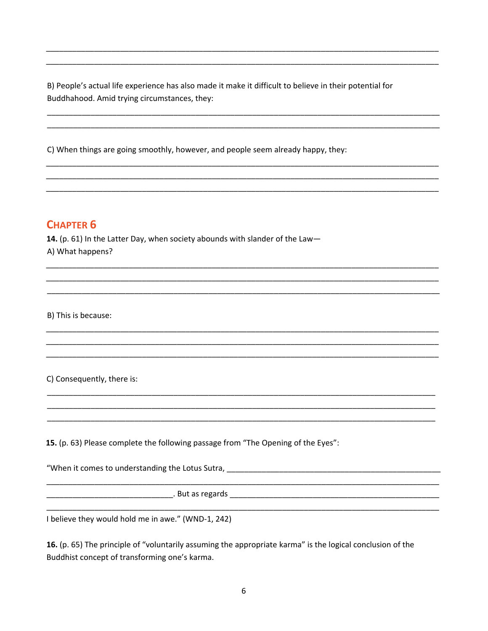B) People's actual life experience has also made it make it difficult to believe in their potential for Buddhahood. Amid trying circumstances, they:

C) When things are going smoothly, however, and people seem already happy, they:

## **CHAPTER 6**

14. (p. 61) In the Latter Day, when society abounds with slander of the Law-A) What happens?

B) This is because:

C) Consequently, there is:

15. (p. 63) Please complete the following passage from "The Opening of the Eyes":

"When it comes to understanding the Lotus Sutra, \_\_\_\_\_\_\_\_\_\_\_\_\_\_\_\_\_\_\_\_\_\_\_\_\_\_\_\_\_\_\_\_

I believe they would hold me in awe." (WND-1, 242)

16. (p. 65) The principle of "voluntarily assuming the appropriate karma" is the logical conclusion of the Buddhist concept of transforming one's karma.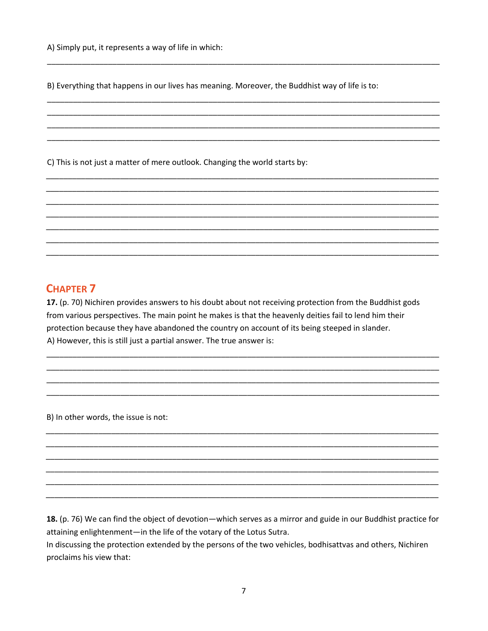B) Everything that happens in our lives has meaning. Moreover, the Buddhist way of life is to:

C) This is not just a matter of mere outlook. Changing the world starts by:

#### **CHAPTER 7**

17. (p. 70) Nichiren provides answers to his doubt about not receiving protection from the Buddhist gods from various perspectives. The main point he makes is that the heavenly deities fail to lend him their protection because they have abandoned the country on account of its being steeped in slander. A) However, this is still just a partial answer. The true answer is:

B) In other words, the issue is not:

18. (p. 76) We can find the object of devotion—which serves as a mirror and guide in our Buddhist practice for attaining enlightenment-in the life of the votary of the Lotus Sutra.

In discussing the protection extended by the persons of the two vehicles, bodhisattvas and others, Nichiren proclaims his view that: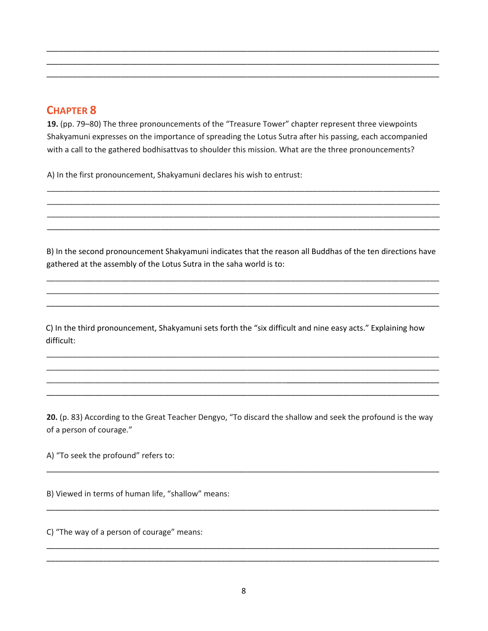**19.** (pp. 79–80) The three pronouncements of the "Treasure Tower" chapter represent three viewpoints Shakyamuni expresses on the importance of spreading the Lotus Sutra after his passing, each accompanied with a call to the gathered bodhisattvas to shoulder this mission. What are the three pronouncements?

\_\_\_\_\_\_\_\_\_\_\_\_\_\_\_\_\_\_\_\_\_\_\_\_\_\_\_\_\_\_\_\_\_\_\_\_\_\_\_\_\_\_\_\_\_\_\_\_\_\_\_\_\_\_\_\_\_\_\_\_\_\_\_\_\_\_\_\_\_\_\_\_\_\_\_\_\_\_\_\_\_\_\_\_\_\_\_\_\_\_ \_\_\_\_\_\_\_\_\_\_\_\_\_\_\_\_\_\_\_\_\_\_\_\_\_\_\_\_\_\_\_\_\_\_\_\_\_\_\_\_\_\_\_\_\_\_\_\_\_\_\_\_\_\_\_\_\_\_\_\_\_\_\_\_\_\_\_\_\_\_\_\_\_\_\_\_\_\_\_\_\_\_\_\_\_\_\_\_\_\_ \_\_\_\_\_\_\_\_\_\_\_\_\_\_\_\_\_\_\_\_\_\_\_\_\_\_\_\_\_\_\_\_\_\_\_\_\_\_\_\_\_\_\_\_\_\_\_\_\_\_\_\_\_\_\_\_\_\_\_\_\_\_\_\_\_\_\_\_\_\_\_\_\_\_\_\_\_\_\_\_\_\_\_\_\_\_\_\_\_\_

A) In the first pronouncement, Shakyamuni declares his wish to entrust:

B) In the second pronouncement Shakyamuni indicates that the reason all Buddhas of the ten directions have gathered at the assembly of the Lotus Sutra in the saha world is to:

\_\_\_\_\_\_\_\_\_\_\_\_\_\_\_\_\_\_\_\_\_\_\_\_\_\_\_\_\_\_\_\_\_\_\_\_\_\_\_\_\_\_\_\_\_\_\_\_\_\_\_\_\_\_\_\_\_\_\_\_\_\_\_\_\_\_\_\_\_\_\_\_\_\_\_\_\_\_\_\_\_\_\_\_\_\_\_\_\_\_ \_\_\_\_\_\_\_\_\_\_\_\_\_\_\_\_\_\_\_\_\_\_\_\_\_\_\_\_\_\_\_\_\_\_\_\_\_\_\_\_\_\_\_\_\_\_\_\_\_\_\_\_\_\_\_\_\_\_\_\_\_\_\_\_\_\_\_\_\_\_\_\_\_\_\_\_\_\_\_\_\_\_\_\_\_\_\_\_\_\_ \_\_\_\_\_\_\_\_\_\_\_\_\_\_\_\_\_\_\_\_\_\_\_\_\_\_\_\_\_\_\_\_\_\_\_\_\_\_\_\_\_\_\_\_\_\_\_\_\_\_\_\_\_\_\_\_\_\_\_\_\_\_\_\_\_\_\_\_\_\_\_\_\_\_\_\_\_\_\_\_\_\_\_\_\_\_\_\_\_\_

\_\_\_\_\_\_\_\_\_\_\_\_\_\_\_\_\_\_\_\_\_\_\_\_\_\_\_\_\_\_\_\_\_\_\_\_\_\_\_\_\_\_\_\_\_\_\_\_\_\_\_\_\_\_\_\_\_\_\_\_\_\_\_\_\_\_\_\_\_\_\_\_\_\_\_\_\_\_\_\_\_\_\_\_\_\_\_\_\_\_ \_\_\_\_\_\_\_\_\_\_\_\_\_\_\_\_\_\_\_\_\_\_\_\_\_\_\_\_\_\_\_\_\_\_\_\_\_\_\_\_\_\_\_\_\_\_\_\_\_\_\_\_\_\_\_\_\_\_\_\_\_\_\_\_\_\_\_\_\_\_\_\_\_\_\_\_\_\_\_\_\_\_\_\_\_\_\_\_\_\_ \_\_\_\_\_\_\_\_\_\_\_\_\_\_\_\_\_\_\_\_\_\_\_\_\_\_\_\_\_\_\_\_\_\_\_\_\_\_\_\_\_\_\_\_\_\_\_\_\_\_\_\_\_\_\_\_\_\_\_\_\_\_\_\_\_\_\_\_\_\_\_\_\_\_\_\_\_\_\_\_\_\_\_\_\_\_\_\_\_\_ \_\_\_\_\_\_\_\_\_\_\_\_\_\_\_\_\_\_\_\_\_\_\_\_\_\_\_\_\_\_\_\_\_\_\_\_\_\_\_\_\_\_\_\_\_\_\_\_\_\_\_\_\_\_\_\_\_\_\_\_\_\_\_\_\_\_\_\_\_\_\_\_\_\_\_\_\_\_\_\_\_\_\_\_\_\_\_\_\_\_

C) In the third pronouncement, Shakyamuni sets forth the "six difficult and nine easy acts." Explaining how difficult:

\_\_\_\_\_\_\_\_\_\_\_\_\_\_\_\_\_\_\_\_\_\_\_\_\_\_\_\_\_\_\_\_\_\_\_\_\_\_\_\_\_\_\_\_\_\_\_\_\_\_\_\_\_\_\_\_\_\_\_\_\_\_\_\_\_\_\_\_\_\_\_\_\_\_\_\_\_\_\_\_\_\_\_\_\_\_\_\_\_\_ \_\_\_\_\_\_\_\_\_\_\_\_\_\_\_\_\_\_\_\_\_\_\_\_\_\_\_\_\_\_\_\_\_\_\_\_\_\_\_\_\_\_\_\_\_\_\_\_\_\_\_\_\_\_\_\_\_\_\_\_\_\_\_\_\_\_\_\_\_\_\_\_\_\_\_\_\_\_\_\_\_\_\_\_\_\_\_\_\_\_ \_\_\_\_\_\_\_\_\_\_\_\_\_\_\_\_\_\_\_\_\_\_\_\_\_\_\_\_\_\_\_\_\_\_\_\_\_\_\_\_\_\_\_\_\_\_\_\_\_\_\_\_\_\_\_\_\_\_\_\_\_\_\_\_\_\_\_\_\_\_\_\_\_\_\_\_\_\_\_\_\_\_\_\_\_\_\_\_\_\_ \_\_\_\_\_\_\_\_\_\_\_\_\_\_\_\_\_\_\_\_\_\_\_\_\_\_\_\_\_\_\_\_\_\_\_\_\_\_\_\_\_\_\_\_\_\_\_\_\_\_\_\_\_\_\_\_\_\_\_\_\_\_\_\_\_\_\_\_\_\_\_\_\_\_\_\_\_\_\_\_\_\_\_\_\_\_\_\_\_\_

**20.** (p. 83) According to the Great Teacher Dengyo, "To discard the shallow and seek the profound is the way of a person of courage."

\_\_\_\_\_\_\_\_\_\_\_\_\_\_\_\_\_\_\_\_\_\_\_\_\_\_\_\_\_\_\_\_\_\_\_\_\_\_\_\_\_\_\_\_\_\_\_\_\_\_\_\_\_\_\_\_\_\_\_\_\_\_\_\_\_\_\_\_\_\_\_\_\_\_\_\_\_\_\_\_\_\_\_\_\_\_\_\_\_\_

\_\_\_\_\_\_\_\_\_\_\_\_\_\_\_\_\_\_\_\_\_\_\_\_\_\_\_\_\_\_\_\_\_\_\_\_\_\_\_\_\_\_\_\_\_\_\_\_\_\_\_\_\_\_\_\_\_\_\_\_\_\_\_\_\_\_\_\_\_\_\_\_\_\_\_\_\_\_\_\_\_\_\_\_\_\_\_\_\_\_

\_\_\_\_\_\_\_\_\_\_\_\_\_\_\_\_\_\_\_\_\_\_\_\_\_\_\_\_\_\_\_\_\_\_\_\_\_\_\_\_\_\_\_\_\_\_\_\_\_\_\_\_\_\_\_\_\_\_\_\_\_\_\_\_\_\_\_\_\_\_\_\_\_\_\_\_\_\_\_\_\_\_\_\_\_\_\_\_\_\_ \_\_\_\_\_\_\_\_\_\_\_\_\_\_\_\_\_\_\_\_\_\_\_\_\_\_\_\_\_\_\_\_\_\_\_\_\_\_\_\_\_\_\_\_\_\_\_\_\_\_\_\_\_\_\_\_\_\_\_\_\_\_\_\_\_\_\_\_\_\_\_\_\_\_\_\_\_\_\_\_\_\_\_\_\_\_\_\_\_\_

A) "To seek the profound" refers to:

B) Viewed in terms of human life, "shallow" means:

C) "The way of a person of courage" means: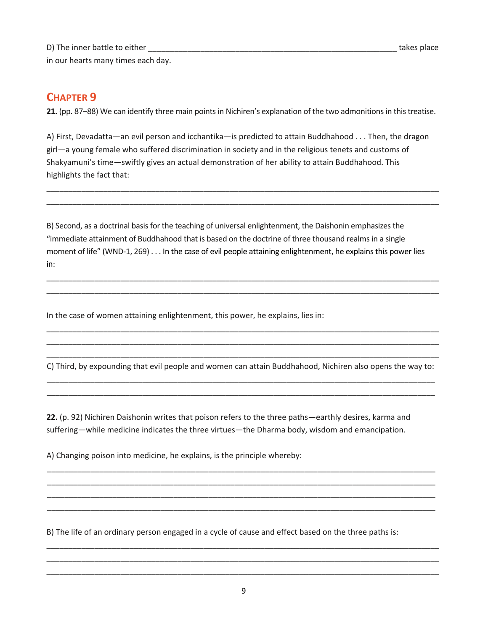D) The inner battle to either \_\_\_\_\_\_\_\_\_\_\_\_\_\_\_\_\_\_\_\_\_\_\_\_\_\_\_\_\_\_\_\_\_\_\_\_\_\_\_\_\_\_\_\_\_\_\_\_\_\_\_\_\_\_\_\_\_ takes place in our hearts many times each day.

## **CHAPTER 9**

**21.** (pp. 87–88) We can identify three main points in Nichiren's explanation of the two admonitions in this treatise.

A) First, Devadatta—an evil person and icchantika—is predicted to attain Buddhahood . . . Then, the dragon girl—a young female who suffered discrimination in society and in the religious tenets and customs of Shakyamuni's time—swiftly gives an actual demonstration of her ability to attain Buddhahood. This highlights the fact that:

\_\_\_\_\_\_\_\_\_\_\_\_\_\_\_\_\_\_\_\_\_\_\_\_\_\_\_\_\_\_\_\_\_\_\_\_\_\_\_\_\_\_\_\_\_\_\_\_\_\_\_\_\_\_\_\_\_\_\_\_\_\_\_\_\_\_\_\_\_\_\_\_\_\_\_\_\_\_\_\_\_\_\_\_\_\_\_\_\_\_ \_\_\_\_\_\_\_\_\_\_\_\_\_\_\_\_\_\_\_\_\_\_\_\_\_\_\_\_\_\_\_\_\_\_\_\_\_\_\_\_\_\_\_\_\_\_\_\_\_\_\_\_\_\_\_\_\_\_\_\_\_\_\_\_\_\_\_\_\_\_\_\_\_\_\_\_\_\_\_\_\_\_\_\_\_\_\_\_\_\_

B) Second, as a doctrinal basis for the teaching of universal enlightenment, the Daishonin emphasizes the "immediate attainment of Buddhahood that is based on the doctrine of three thousand realms in a single moment of life" (WND-1, 269) . . . In the case of evil people attaining enlightenment, he explains this power lies in:

\_\_\_\_\_\_\_\_\_\_\_\_\_\_\_\_\_\_\_\_\_\_\_\_\_\_\_\_\_\_\_\_\_\_\_\_\_\_\_\_\_\_\_\_\_\_\_\_\_\_\_\_\_\_\_\_\_\_\_\_\_\_\_\_\_\_\_\_\_\_\_\_\_\_\_\_\_\_\_\_\_\_\_\_\_\_\_\_\_\_ \_\_\_\_\_\_\_\_\_\_\_\_\_\_\_\_\_\_\_\_\_\_\_\_\_\_\_\_\_\_\_\_\_\_\_\_\_\_\_\_\_\_\_\_\_\_\_\_\_\_\_\_\_\_\_\_\_\_\_\_\_\_\_\_\_\_\_\_\_\_\_\_\_\_\_\_\_\_\_\_\_\_\_\_\_\_\_\_\_\_

In the case of women attaining enlightenment, this power, he explains, lies in:

\_\_\_\_\_\_\_\_\_\_\_\_\_\_\_\_\_\_\_\_\_\_\_\_\_\_\_\_\_\_\_\_\_\_\_\_\_\_\_\_\_\_\_\_\_\_\_\_\_\_\_\_\_\_\_\_\_\_\_\_\_\_\_\_\_\_\_\_\_\_\_\_\_\_\_\_\_\_\_\_\_\_\_\_\_\_\_\_\_\_ C) Third, by expounding that evil people and women can attain Buddhahood, Nichiren also opens the way to: \_\_\_\_\_\_\_\_\_\_\_\_\_\_\_\_\_\_\_\_\_\_\_\_\_\_\_\_\_\_\_\_\_\_\_\_\_\_\_\_\_\_\_\_\_\_\_\_\_\_\_\_\_\_\_\_\_\_\_\_\_\_\_\_\_\_\_\_\_\_\_\_\_\_\_\_\_\_\_\_\_\_\_\_\_\_\_\_\_

\_\_\_\_\_\_\_\_\_\_\_\_\_\_\_\_\_\_\_\_\_\_\_\_\_\_\_\_\_\_\_\_\_\_\_\_\_\_\_\_\_\_\_\_\_\_\_\_\_\_\_\_\_\_\_\_\_\_\_\_\_\_\_\_\_\_\_\_\_\_\_\_\_\_\_\_\_\_\_\_\_\_\_\_\_\_\_\_\_

\_\_\_\_\_\_\_\_\_\_\_\_\_\_\_\_\_\_\_\_\_\_\_\_\_\_\_\_\_\_\_\_\_\_\_\_\_\_\_\_\_\_\_\_\_\_\_\_\_\_\_\_\_\_\_\_\_\_\_\_\_\_\_\_\_\_\_\_\_\_\_\_\_\_\_\_\_\_\_\_\_\_\_\_\_\_\_\_\_ \_\_\_\_\_\_\_\_\_\_\_\_\_\_\_\_\_\_\_\_\_\_\_\_\_\_\_\_\_\_\_\_\_\_\_\_\_\_\_\_\_\_\_\_\_\_\_\_\_\_\_\_\_\_\_\_\_\_\_\_\_\_\_\_\_\_\_\_\_\_\_\_\_\_\_\_\_\_\_\_\_\_\_\_\_\_\_\_\_ \_\_\_\_\_\_\_\_\_\_\_\_\_\_\_\_\_\_\_\_\_\_\_\_\_\_\_\_\_\_\_\_\_\_\_\_\_\_\_\_\_\_\_\_\_\_\_\_\_\_\_\_\_\_\_\_\_\_\_\_\_\_\_\_\_\_\_\_\_\_\_\_\_\_\_\_\_\_\_\_\_\_\_\_\_\_\_\_\_ \_\_\_\_\_\_\_\_\_\_\_\_\_\_\_\_\_\_\_\_\_\_\_\_\_\_\_\_\_\_\_\_\_\_\_\_\_\_\_\_\_\_\_\_\_\_\_\_\_\_\_\_\_\_\_\_\_\_\_\_\_\_\_\_\_\_\_\_\_\_\_\_\_\_\_\_\_\_\_\_\_\_\_\_\_\_\_\_\_

\_\_\_\_\_\_\_\_\_\_\_\_\_\_\_\_\_\_\_\_\_\_\_\_\_\_\_\_\_\_\_\_\_\_\_\_\_\_\_\_\_\_\_\_\_\_\_\_\_\_\_\_\_\_\_\_\_\_\_\_\_\_\_\_\_\_\_\_\_\_\_\_\_\_\_\_\_\_\_\_\_\_\_\_\_\_\_\_\_\_ \_\_\_\_\_\_\_\_\_\_\_\_\_\_\_\_\_\_\_\_\_\_\_\_\_\_\_\_\_\_\_\_\_\_\_\_\_\_\_\_\_\_\_\_\_\_\_\_\_\_\_\_\_\_\_\_\_\_\_\_\_\_\_\_\_\_\_\_\_\_\_\_\_\_\_\_\_\_\_\_\_\_\_\_\_\_\_\_\_\_

**22.** (p. 92) Nichiren Daishonin writes that poison refers to the three paths—earthly desires, karma and suffering—while medicine indicates the three virtues—the Dharma body, wisdom and emancipation.

A) Changing poison into medicine, he explains, is the principle whereby:

B) The life of an ordinary person engaged in a cycle of cause and effect based on the three paths is:

\_\_\_\_\_\_\_\_\_\_\_\_\_\_\_\_\_\_\_\_\_\_\_\_\_\_\_\_\_\_\_\_\_\_\_\_\_\_\_\_\_\_\_\_\_\_\_\_\_\_\_\_\_\_\_\_\_\_\_\_\_\_\_\_\_\_\_\_\_\_\_\_\_\_\_\_\_\_\_\_\_\_\_\_\_\_\_\_\_\_ \_\_\_\_\_\_\_\_\_\_\_\_\_\_\_\_\_\_\_\_\_\_\_\_\_\_\_\_\_\_\_\_\_\_\_\_\_\_\_\_\_\_\_\_\_\_\_\_\_\_\_\_\_\_\_\_\_\_\_\_\_\_\_\_\_\_\_\_\_\_\_\_\_\_\_\_\_\_\_\_\_\_\_\_\_\_\_\_\_\_ \_\_\_\_\_\_\_\_\_\_\_\_\_\_\_\_\_\_\_\_\_\_\_\_\_\_\_\_\_\_\_\_\_\_\_\_\_\_\_\_\_\_\_\_\_\_\_\_\_\_\_\_\_\_\_\_\_\_\_\_\_\_\_\_\_\_\_\_\_\_\_\_\_\_\_\_\_\_\_\_\_\_\_\_\_\_\_\_\_\_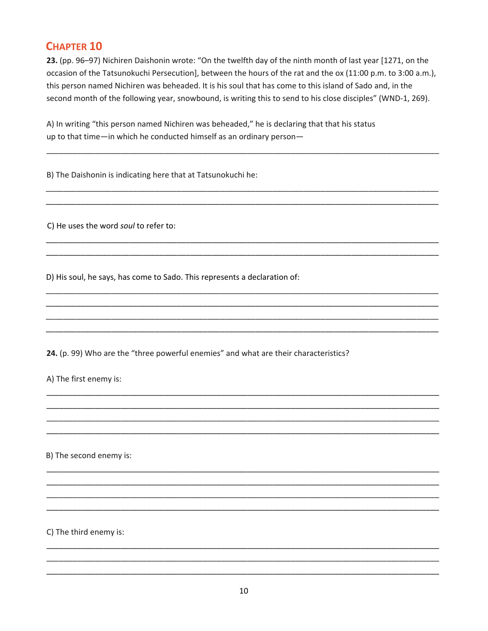23. (pp. 96-97) Nichiren Daishonin wrote: "On the twelfth day of the ninth month of last year [1271, on the occasion of the Tatsunokuchi Persecution], between the hours of the rat and the ox (11:00 p.m. to 3:00 a.m.), this person named Nichiren was beheaded. It is his soul that has come to this island of Sado and, in the second month of the following year, snowbound, is writing this to send to his close disciples" (WND-1, 269).

A) In writing "this person named Nichiren was beheaded," he is declaring that that his status up to that time-in which he conducted himself as an ordinary person-

B) The Daishonin is indicating here that at Tatsunokuchi he:

C) He uses the word soul to refer to:

D) His soul, he says, has come to Sado. This represents a declaration of:

24. (p. 99) Who are the "three powerful enemies" and what are their characteristics?

A) The first enemy is:

B) The second enemy is:

C) The third enemy is: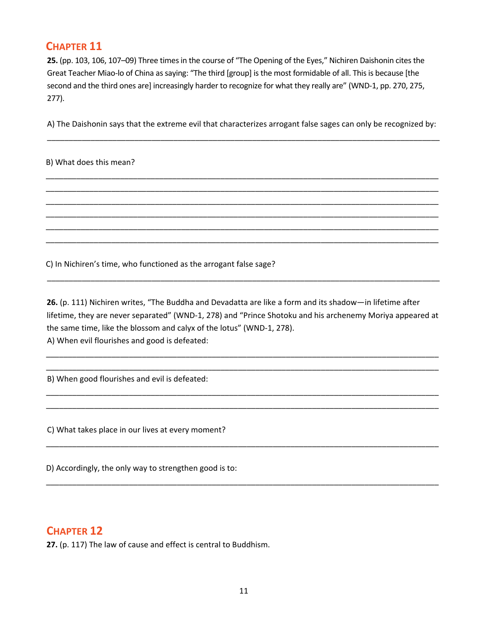**25.** (pp. 103, 106, 107–09) Three times in the course of "The Opening of the Eyes," Nichiren Daishonin cites the Great Teacher Miao‐lo of China as saying: "The third [group] is the most formidable of all. This is because [the second and the third ones are] increasingly harder to recognize for what they really are" (WND‐1, pp. 270, 275, 277).

A) The Daishonin says that the extreme evil that characterizes arrogant false sages can only be recognized by: \_\_\_\_\_\_\_\_\_\_\_\_\_\_\_\_\_\_\_\_\_\_\_\_\_\_\_\_\_\_\_\_\_\_\_\_\_\_\_\_\_\_\_\_\_\_\_\_\_\_\_\_\_\_\_\_\_\_\_\_\_\_\_\_\_\_\_\_\_\_\_\_\_\_\_\_\_\_\_\_\_\_\_\_\_\_\_\_\_\_

\_\_\_\_\_\_\_\_\_\_\_\_\_\_\_\_\_\_\_\_\_\_\_\_\_\_\_\_\_\_\_\_\_\_\_\_\_\_\_\_\_\_\_\_\_\_\_\_\_\_\_\_\_\_\_\_\_\_\_\_\_\_\_\_\_\_\_\_\_\_\_\_\_\_\_\_\_\_\_\_\_\_\_\_\_\_\_\_\_\_ \_\_\_\_\_\_\_\_\_\_\_\_\_\_\_\_\_\_\_\_\_\_\_\_\_\_\_\_\_\_\_\_\_\_\_\_\_\_\_\_\_\_\_\_\_\_\_\_\_\_\_\_\_\_\_\_\_\_\_\_\_\_\_\_\_\_\_\_\_\_\_\_\_\_\_\_\_\_\_\_\_\_\_\_\_\_\_\_\_\_ \_\_\_\_\_\_\_\_\_\_\_\_\_\_\_\_\_\_\_\_\_\_\_\_\_\_\_\_\_\_\_\_\_\_\_\_\_\_\_\_\_\_\_\_\_\_\_\_\_\_\_\_\_\_\_\_\_\_\_\_\_\_\_\_\_\_\_\_\_\_\_\_\_\_\_\_\_\_\_\_\_\_\_\_\_\_\_\_\_\_ \_\_\_\_\_\_\_\_\_\_\_\_\_\_\_\_\_\_\_\_\_\_\_\_\_\_\_\_\_\_\_\_\_\_\_\_\_\_\_\_\_\_\_\_\_\_\_\_\_\_\_\_\_\_\_\_\_\_\_\_\_\_\_\_\_\_\_\_\_\_\_\_\_\_\_\_\_\_\_\_\_\_\_\_\_\_\_\_\_\_ \_\_\_\_\_\_\_\_\_\_\_\_\_\_\_\_\_\_\_\_\_\_\_\_\_\_\_\_\_\_\_\_\_\_\_\_\_\_\_\_\_\_\_\_\_\_\_\_\_\_\_\_\_\_\_\_\_\_\_\_\_\_\_\_\_\_\_\_\_\_\_\_\_\_\_\_\_\_\_\_\_\_\_\_\_\_\_\_\_\_ \_\_\_\_\_\_\_\_\_\_\_\_\_\_\_\_\_\_\_\_\_\_\_\_\_\_\_\_\_\_\_\_\_\_\_\_\_\_\_\_\_\_\_\_\_\_\_\_\_\_\_\_\_\_\_\_\_\_\_\_\_\_\_\_\_\_\_\_\_\_\_\_\_\_\_\_\_\_\_\_\_\_\_\_\_\_\_\_\_\_

B) What does this mean?

C) In Nichiren's time, who functioned as the arrogant false sage?

**26.** (p. 111) Nichiren writes, "The Buddha and Devadatta are like a form and its shadow—in lifetime after lifetime, they are never separated" (WND‐1, 278) and "Prince Shotoku and his archenemy Moriya appeared at the same time, like the blossom and calyx of the lotus" (WND‐1, 278). A) When evil flourishes and good is defeated:

\_\_\_\_\_\_\_\_\_\_\_\_\_\_\_\_\_\_\_\_\_\_\_\_\_\_\_\_\_\_\_\_\_\_\_\_\_\_\_\_\_\_\_\_\_\_\_\_\_\_\_\_\_\_\_\_\_\_\_\_\_\_\_\_\_\_\_\_\_\_\_\_\_\_\_\_\_\_\_\_\_\_\_\_\_\_\_\_\_\_ \_\_\_\_\_\_\_\_\_\_\_\_\_\_\_\_\_\_\_\_\_\_\_\_\_\_\_\_\_\_\_\_\_\_\_\_\_\_\_\_\_\_\_\_\_\_\_\_\_\_\_\_\_\_\_\_\_\_\_\_\_\_\_\_\_\_\_\_\_\_\_\_\_\_\_\_\_\_\_\_\_\_\_\_\_\_\_\_\_\_

\_\_\_\_\_\_\_\_\_\_\_\_\_\_\_\_\_\_\_\_\_\_\_\_\_\_\_\_\_\_\_\_\_\_\_\_\_\_\_\_\_\_\_\_\_\_\_\_\_\_\_\_\_\_\_\_\_\_\_\_\_\_\_\_\_\_\_\_\_\_\_\_\_\_\_\_\_\_\_\_\_\_\_\_\_\_\_\_\_\_ \_\_\_\_\_\_\_\_\_\_\_\_\_\_\_\_\_\_\_\_\_\_\_\_\_\_\_\_\_\_\_\_\_\_\_\_\_\_\_\_\_\_\_\_\_\_\_\_\_\_\_\_\_\_\_\_\_\_\_\_\_\_\_\_\_\_\_\_\_\_\_\_\_\_\_\_\_\_\_\_\_\_\_\_\_\_\_\_\_\_

\_\_\_\_\_\_\_\_\_\_\_\_\_\_\_\_\_\_\_\_\_\_\_\_\_\_\_\_\_\_\_\_\_\_\_\_\_\_\_\_\_\_\_\_\_\_\_\_\_\_\_\_\_\_\_\_\_\_\_\_\_\_\_\_\_\_\_\_\_\_\_\_\_\_\_\_\_\_\_\_\_\_\_\_\_\_\_\_\_\_

\_\_\_\_\_\_\_\_\_\_\_\_\_\_\_\_\_\_\_\_\_\_\_\_\_\_\_\_\_\_\_\_\_\_\_\_\_\_\_\_\_\_\_\_\_\_\_\_\_\_\_\_\_\_\_\_\_\_\_\_\_\_\_\_\_\_\_\_\_\_\_\_\_\_\_\_\_\_\_\_\_\_\_\_\_\_\_\_\_\_

\_\_\_\_\_\_\_\_\_\_\_\_\_\_\_\_\_\_\_\_\_\_\_\_\_\_\_\_\_\_\_\_\_\_\_\_\_\_\_\_\_\_\_\_\_\_\_\_\_\_\_\_\_\_\_\_\_\_\_\_\_\_\_\_\_\_\_\_\_\_\_\_\_\_\_\_\_\_\_\_\_\_\_\_\_\_\_\_\_\_

B) When good flourishes and evil is defeated:

C) What takes place in our lives at every moment?

D) Accordingly, the only way to strengthen good is to:

## **CHAPTER 12**

**27.** (p. 117) The law of cause and effect is central to Buddhism.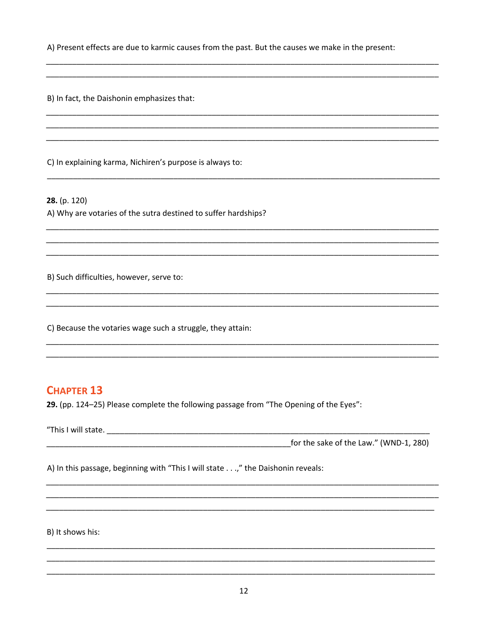A) Present effects are due to karmic causes from the past. But the causes we make in the present:

B) In fact, the Daishonin emphasizes that:

C) In explaining karma, Nichiren's purpose is always to:

 $28. (p. 120)$ 

A) Why are votaries of the sutra destined to suffer hardships?

B) Such difficulties, however, serve to:

C) Because the votaries wage such a struggle, they attain:

## **CHAPTER 13**

29. (pp. 124-25) Please complete the following passage from "The Opening of the Eyes":

A) In this passage, beginning with "This I will state . . .," the Daishonin reveals:

B) It shows his: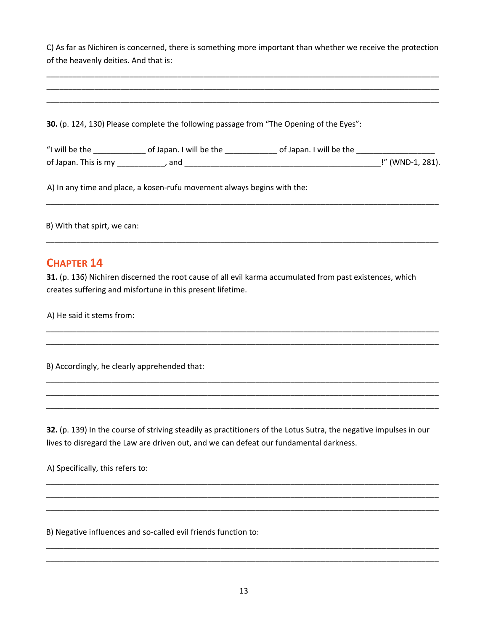C) As far as Nichiren is concerned, there is something more important than whether we receive the protection of the heavenly deities. And that is:

\_\_\_\_\_\_\_\_\_\_\_\_\_\_\_\_\_\_\_\_\_\_\_\_\_\_\_\_\_\_\_\_\_\_\_\_\_\_\_\_\_\_\_\_\_\_\_\_\_\_\_\_\_\_\_\_\_\_\_\_\_\_\_\_\_\_\_\_\_\_\_\_\_\_\_\_\_\_\_\_\_\_\_\_\_\_\_\_\_\_

| 30. (p. 124, 130) Please complete the following passage from "The Opening of the Eyes": |  |
|-----------------------------------------------------------------------------------------|--|
|                                                                                         |  |
|                                                                                         |  |

\_\_\_\_\_\_\_\_\_\_\_\_\_\_\_\_\_\_\_\_\_\_\_\_\_\_\_\_\_\_\_\_\_\_\_\_\_\_\_\_\_\_\_\_\_\_\_\_\_\_\_\_\_\_\_\_\_\_\_\_\_\_\_\_\_\_\_\_\_\_\_\_\_\_\_\_\_\_\_\_\_\_\_\_\_\_\_\_\_\_

\_\_\_\_\_\_\_\_\_\_\_\_\_\_\_\_\_\_\_\_\_\_\_\_\_\_\_\_\_\_\_\_\_\_\_\_\_\_\_\_\_\_\_\_\_\_\_\_\_\_\_\_\_\_\_\_\_\_\_\_\_\_\_\_\_\_\_\_\_\_\_\_\_\_\_\_\_\_\_\_\_\_\_\_\_\_\_\_\_\_ \_\_\_\_\_\_\_\_\_\_\_\_\_\_\_\_\_\_\_\_\_\_\_\_\_\_\_\_\_\_\_\_\_\_\_\_\_\_\_\_\_\_\_\_\_\_\_\_\_\_\_\_\_\_\_\_\_\_\_\_\_\_\_\_\_\_\_\_\_\_\_\_\_\_\_\_\_\_\_\_\_\_\_\_\_\_\_\_\_\_

\_\_\_\_\_\_\_\_\_\_\_\_\_\_\_\_\_\_\_\_\_\_\_\_\_\_\_\_\_\_\_\_\_\_\_\_\_\_\_\_\_\_\_\_\_\_\_\_\_\_\_\_\_\_\_\_\_\_\_\_\_\_\_\_\_\_\_\_\_\_\_\_\_\_\_\_\_\_\_\_\_\_\_\_\_\_\_\_\_\_ \_\_\_\_\_\_\_\_\_\_\_\_\_\_\_\_\_\_\_\_\_\_\_\_\_\_\_\_\_\_\_\_\_\_\_\_\_\_\_\_\_\_\_\_\_\_\_\_\_\_\_\_\_\_\_\_\_\_\_\_\_\_\_\_\_\_\_\_\_\_\_\_\_\_\_\_\_\_\_\_\_\_\_\_\_\_\_\_\_\_ \_\_\_\_\_\_\_\_\_\_\_\_\_\_\_\_\_\_\_\_\_\_\_\_\_\_\_\_\_\_\_\_\_\_\_\_\_\_\_\_\_\_\_\_\_\_\_\_\_\_\_\_\_\_\_\_\_\_\_\_\_\_\_\_\_\_\_\_\_\_\_\_\_\_\_\_\_\_\_\_\_\_\_\_\_\_\_\_\_\_

B) With that spirt, we can:

#### **CHAPTER 14**

**31.** (p. 136) Nichiren discerned the root cause of all evil karma accumulated from past existences, which creates suffering and misfortune in this present lifetime.

A) He said it stems from:

B) Accordingly, he clearly apprehended that:

**32.** (p. 139) In the course of striving steadily as practitioners of the Lotus Sutra, the negative impulses in our lives to disregard the Law are driven out, and we can defeat our fundamental darkness.

\_\_\_\_\_\_\_\_\_\_\_\_\_\_\_\_\_\_\_\_\_\_\_\_\_\_\_\_\_\_\_\_\_\_\_\_\_\_\_\_\_\_\_\_\_\_\_\_\_\_\_\_\_\_\_\_\_\_\_\_\_\_\_\_\_\_\_\_\_\_\_\_\_\_\_\_\_\_\_\_\_\_\_\_\_\_\_\_\_\_ \_\_\_\_\_\_\_\_\_\_\_\_\_\_\_\_\_\_\_\_\_\_\_\_\_\_\_\_\_\_\_\_\_\_\_\_\_\_\_\_\_\_\_\_\_\_\_\_\_\_\_\_\_\_\_\_\_\_\_\_\_\_\_\_\_\_\_\_\_\_\_\_\_\_\_\_\_\_\_\_\_\_\_\_\_\_\_\_\_\_ \_\_\_\_\_\_\_\_\_\_\_\_\_\_\_\_\_\_\_\_\_\_\_\_\_\_\_\_\_\_\_\_\_\_\_\_\_\_\_\_\_\_\_\_\_\_\_\_\_\_\_\_\_\_\_\_\_\_\_\_\_\_\_\_\_\_\_\_\_\_\_\_\_\_\_\_\_\_\_\_\_\_\_\_\_\_\_\_\_\_

A) Specifically, this refers to:

B) Negative influences and so-called evil friends function to:

\_\_\_\_\_\_\_\_\_\_\_\_\_\_\_\_\_\_\_\_\_\_\_\_\_\_\_\_\_\_\_\_\_\_\_\_\_\_\_\_\_\_\_\_\_\_\_\_\_\_\_\_\_\_\_\_\_\_\_\_\_\_\_\_\_\_\_\_\_\_\_\_\_\_\_\_\_\_\_\_\_\_\_\_\_\_\_\_\_\_ \_\_\_\_\_\_\_\_\_\_\_\_\_\_\_\_\_\_\_\_\_\_\_\_\_\_\_\_\_\_\_\_\_\_\_\_\_\_\_\_\_\_\_\_\_\_\_\_\_\_\_\_\_\_\_\_\_\_\_\_\_\_\_\_\_\_\_\_\_\_\_\_\_\_\_\_\_\_\_\_\_\_\_\_\_\_\_\_\_\_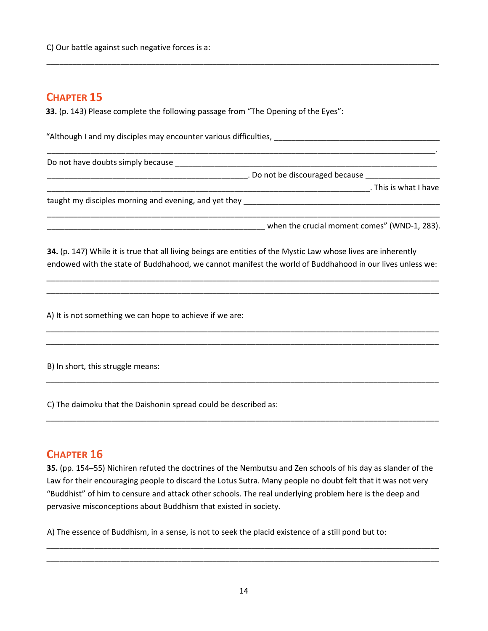**33.** (p. 143) Please complete the following passage from "The Opening of the Eyes":

"Although I and my disciples may encounter various difficulties, \_\_\_\_\_\_\_\_\_\_\_\_\_\_\_\_\_\_\_\_\_\_\_\_\_\_\_\_\_\_\_\_\_\_\_\_\_\_

\_\_\_\_\_\_\_\_\_\_\_\_\_\_\_\_\_\_\_\_\_\_\_\_\_\_\_\_\_\_\_\_\_\_\_\_\_\_\_\_\_\_\_\_\_\_\_\_\_\_\_\_\_\_\_\_\_\_\_\_\_\_\_\_\_\_\_\_\_\_\_\_\_\_\_\_\_\_\_\_\_\_\_\_\_\_\_\_\_.

\_\_\_\_\_\_\_\_\_\_\_\_\_\_\_\_\_\_\_\_\_\_\_\_\_\_\_\_\_\_\_\_\_\_\_\_\_\_\_\_\_\_\_\_\_\_\_\_\_\_\_\_\_\_\_\_\_\_\_\_\_\_\_\_\_\_\_\_\_\_\_\_\_\_\_\_\_\_\_\_\_\_\_\_\_\_\_\_\_\_

Do not have doubts simply because \_\_\_\_\_\_\_\_\_\_\_\_\_\_\_\_\_\_\_\_\_\_\_\_\_\_\_\_\_\_\_\_\_\_\_\_\_\_\_\_\_\_\_\_\_\_\_\_\_\_\_\_\_\_\_\_\_\_\_\_

**Example 2 and 5 are discouraged because \_\_\_\_\_\_\_\_\_\_\_\_** 

\_\_\_\_\_\_\_\_\_\_\_\_\_\_\_\_\_\_\_\_\_\_\_\_\_\_\_\_\_\_\_\_\_\_\_\_\_\_\_\_\_\_\_\_\_\_\_\_\_\_\_\_\_\_\_\_\_\_\_\_\_\_\_\_\_\_\_\_\_\_\_\_\_\_. This is what I have

taught my disciples morning and evening, and yet they \_\_\_\_\_\_\_\_\_\_\_\_\_\_\_\_\_\_\_\_\_\_\_\_\_\_

\_\_\_\_\_\_\_\_\_\_\_\_\_\_\_\_\_\_\_\_\_\_\_\_\_\_\_\_\_\_\_\_\_\_\_\_\_\_\_\_\_\_\_\_\_\_\_\_\_\_ when the crucial moment comes" (WND‐1, 283).

**34.** (p. 147) While it is true that all living beings are entities of the Mystic Law whose lives are inherently endowed with the state of Buddhahood, we cannot manifest the world of Buddhahood in our lives unless we:

\_\_\_\_\_\_\_\_\_\_\_\_\_\_\_\_\_\_\_\_\_\_\_\_\_\_\_\_\_\_\_\_\_\_\_\_\_\_\_\_\_\_\_\_\_\_\_\_\_\_\_\_\_\_\_\_\_\_\_\_\_\_\_\_\_\_\_\_\_\_\_\_\_\_\_\_\_\_\_\_\_\_\_\_\_\_\_\_\_\_ \_\_\_\_\_\_\_\_\_\_\_\_\_\_\_\_\_\_\_\_\_\_\_\_\_\_\_\_\_\_\_\_\_\_\_\_\_\_\_\_\_\_\_\_\_\_\_\_\_\_\_\_\_\_\_\_\_\_\_\_\_\_\_\_\_\_\_\_\_\_\_\_\_\_\_\_\_\_\_\_\_\_\_\_\_\_\_\_\_\_

\_\_\_\_\_\_\_\_\_\_\_\_\_\_\_\_\_\_\_\_\_\_\_\_\_\_\_\_\_\_\_\_\_\_\_\_\_\_\_\_\_\_\_\_\_\_\_\_\_\_\_\_\_\_\_\_\_\_\_\_\_\_\_\_\_\_\_\_\_\_\_\_\_\_\_\_\_\_\_\_\_\_\_\_\_\_\_\_\_\_ \_\_\_\_\_\_\_\_\_\_\_\_\_\_\_\_\_\_\_\_\_\_\_\_\_\_\_\_\_\_\_\_\_\_\_\_\_\_\_\_\_\_\_\_\_\_\_\_\_\_\_\_\_\_\_\_\_\_\_\_\_\_\_\_\_\_\_\_\_\_\_\_\_\_\_\_\_\_\_\_\_\_\_\_\_\_\_\_\_\_

\_\_\_\_\_\_\_\_\_\_\_\_\_\_\_\_\_\_\_\_\_\_\_\_\_\_\_\_\_\_\_\_\_\_\_\_\_\_\_\_\_\_\_\_\_\_\_\_\_\_\_\_\_\_\_\_\_\_\_\_\_\_\_\_\_\_\_\_\_\_\_\_\_\_\_\_\_\_\_\_\_\_\_\_\_\_\_\_\_\_

\_\_\_\_\_\_\_\_\_\_\_\_\_\_\_\_\_\_\_\_\_\_\_\_\_\_\_\_\_\_\_\_\_\_\_\_\_\_\_\_\_\_\_\_\_\_\_\_\_\_\_\_\_\_\_\_\_\_\_\_\_\_\_\_\_\_\_\_\_\_\_\_\_\_\_\_\_\_\_\_\_\_\_\_\_\_\_\_\_\_

\_\_\_\_\_\_\_\_\_\_\_\_\_\_\_\_\_\_\_\_\_\_\_\_\_\_\_\_\_\_\_\_\_\_\_\_\_\_\_\_\_\_\_\_\_\_\_\_\_\_\_\_\_\_\_\_\_\_\_\_\_\_\_\_\_\_\_\_\_\_\_\_\_\_\_\_\_\_\_\_\_\_\_\_\_\_\_\_\_\_

A) It is not something we can hope to achieve if we are:

B) In short, this struggle means:

C) The daimoku that the Daishonin spread could be described as:

#### **CHAPTER 16**

**35.** (pp. 154–55) Nichiren refuted the doctrines of the Nembutsu and Zen schools of his day as slander of the Law for their encouraging people to discard the Lotus Sutra. Many people no doubt felt that it was not very "Buddhist" of him to censure and attack other schools. The real underlying problem here is the deep and pervasive misconceptions about Buddhism that existed in society.

A) The essence of Buddhism, in a sense, is not to seek the placid existence of a still pond but to:

\_\_\_\_\_\_\_\_\_\_\_\_\_\_\_\_\_\_\_\_\_\_\_\_\_\_\_\_\_\_\_\_\_\_\_\_\_\_\_\_\_\_\_\_\_\_\_\_\_\_\_\_\_\_\_\_\_\_\_\_\_\_\_\_\_\_\_\_\_\_\_\_\_\_\_\_\_\_\_\_\_\_\_\_\_\_\_\_\_\_ \_\_\_\_\_\_\_\_\_\_\_\_\_\_\_\_\_\_\_\_\_\_\_\_\_\_\_\_\_\_\_\_\_\_\_\_\_\_\_\_\_\_\_\_\_\_\_\_\_\_\_\_\_\_\_\_\_\_\_\_\_\_\_\_\_\_\_\_\_\_\_\_\_\_\_\_\_\_\_\_\_\_\_\_\_\_\_\_\_\_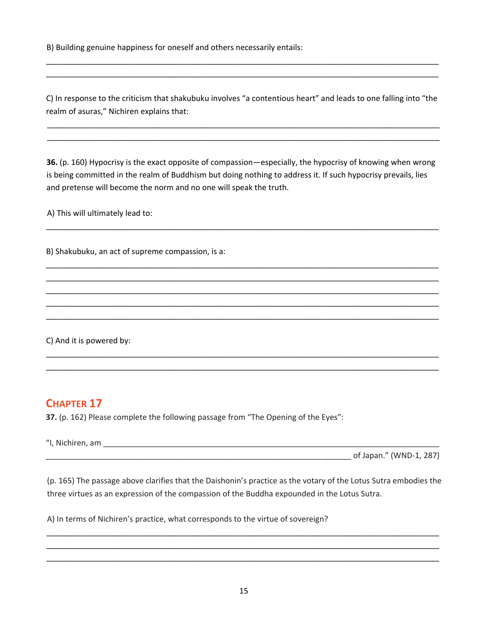B) Building genuine happiness for oneself and others necessarily entails:

C) In response to the criticism that shakubuku involves "a contentious heart" and leads to one falling into "the realm of asuras," Nichiren explains that:

\_\_\_\_\_\_\_\_\_\_\_\_\_\_\_\_\_\_\_\_\_\_\_\_\_\_\_\_\_\_\_\_\_\_\_\_\_\_\_\_\_\_\_\_\_\_\_\_\_\_\_\_\_\_\_\_\_\_\_\_\_\_\_\_\_\_\_\_\_\_\_\_\_\_\_\_\_\_\_\_\_\_\_\_\_\_\_\_\_\_ \_\_\_\_\_\_\_\_\_\_\_\_\_\_\_\_\_\_\_\_\_\_\_\_\_\_\_\_\_\_\_\_\_\_\_\_\_\_\_\_\_\_\_\_\_\_\_\_\_\_\_\_\_\_\_\_\_\_\_\_\_\_\_\_\_\_\_\_\_\_\_\_\_\_\_\_\_\_\_\_\_\_\_\_\_\_\_\_\_\_

\_\_\_\_\_\_\_\_\_\_\_\_\_\_\_\_\_\_\_\_\_\_\_\_\_\_\_\_\_\_\_\_\_\_\_\_\_\_\_\_\_\_\_\_\_\_\_\_\_\_\_\_\_\_\_\_\_\_\_\_\_\_\_\_\_\_\_\_\_\_\_\_\_\_\_\_\_\_\_\_\_\_\_\_\_\_\_\_\_\_ \_\_\_\_\_\_\_\_\_\_\_\_\_\_\_\_\_\_\_\_\_\_\_\_\_\_\_\_\_\_\_\_\_\_\_\_\_\_\_\_\_\_\_\_\_\_\_\_\_\_\_\_\_\_\_\_\_\_\_\_\_\_\_\_\_\_\_\_\_\_\_\_\_\_\_\_\_\_\_\_\_\_\_\_\_\_\_\_\_\_

**36.** (p. 160) Hypocrisy is the exact opposite of compassion—especially, the hypocrisy of knowing when wrong is being committed in the realm of Buddhism but doing nothing to address it. If such hypocrisy prevails, lies and pretense will become the norm and no one will speak the truth.

\_\_\_\_\_\_\_\_\_\_\_\_\_\_\_\_\_\_\_\_\_\_\_\_\_\_\_\_\_\_\_\_\_\_\_\_\_\_\_\_\_\_\_\_\_\_\_\_\_\_\_\_\_\_\_\_\_\_\_\_\_\_\_\_\_\_\_\_\_\_\_\_\_\_\_\_\_\_\_\_\_\_\_\_\_\_\_\_\_\_

\_\_\_\_\_\_\_\_\_\_\_\_\_\_\_\_\_\_\_\_\_\_\_\_\_\_\_\_\_\_\_\_\_\_\_\_\_\_\_\_\_\_\_\_\_\_\_\_\_\_\_\_\_\_\_\_\_\_\_\_\_\_\_\_\_\_\_\_\_\_\_\_\_\_\_\_\_\_\_\_\_\_\_\_\_\_\_\_\_\_ \_\_\_\_\_\_\_\_\_\_\_\_\_\_\_\_\_\_\_\_\_\_\_\_\_\_\_\_\_\_\_\_\_\_\_\_\_\_\_\_\_\_\_\_\_\_\_\_\_\_\_\_\_\_\_\_\_\_\_\_\_\_\_\_\_\_\_\_\_\_\_\_\_\_\_\_\_\_\_\_\_\_\_\_\_\_\_\_\_\_ \_\_\_\_\_\_\_\_\_\_\_\_\_\_\_\_\_\_\_\_\_\_\_\_\_\_\_\_\_\_\_\_\_\_\_\_\_\_\_\_\_\_\_\_\_\_\_\_\_\_\_\_\_\_\_\_\_\_\_\_\_\_\_\_\_\_\_\_\_\_\_\_\_\_\_\_\_\_\_\_\_\_\_\_\_\_\_\_\_\_ \_\_\_\_\_\_\_\_\_\_\_\_\_\_\_\_\_\_\_\_\_\_\_\_\_\_\_\_\_\_\_\_\_\_\_\_\_\_\_\_\_\_\_\_\_\_\_\_\_\_\_\_\_\_\_\_\_\_\_\_\_\_\_\_\_\_\_\_\_\_\_\_\_\_\_\_\_\_\_\_\_\_\_\_\_\_\_\_\_\_ \_\_\_\_\_\_\_\_\_\_\_\_\_\_\_\_\_\_\_\_\_\_\_\_\_\_\_\_\_\_\_\_\_\_\_\_\_\_\_\_\_\_\_\_\_\_\_\_\_\_\_\_\_\_\_\_\_\_\_\_\_\_\_\_\_\_\_\_\_\_\_\_\_\_\_\_\_\_\_\_\_\_\_\_\_\_\_\_\_\_

\_\_\_\_\_\_\_\_\_\_\_\_\_\_\_\_\_\_\_\_\_\_\_\_\_\_\_\_\_\_\_\_\_\_\_\_\_\_\_\_\_\_\_\_\_\_\_\_\_\_\_\_\_\_\_\_\_\_\_\_\_\_\_\_\_\_\_\_\_\_\_\_\_\_\_\_\_\_\_\_\_\_\_\_\_\_\_\_\_\_ \_\_\_\_\_\_\_\_\_\_\_\_\_\_\_\_\_\_\_\_\_\_\_\_\_\_\_\_\_\_\_\_\_\_\_\_\_\_\_\_\_\_\_\_\_\_\_\_\_\_\_\_\_\_\_\_\_\_\_\_\_\_\_\_\_\_\_\_\_\_\_\_\_\_\_\_\_\_\_\_\_\_\_\_\_\_\_\_\_\_

A) This will ultimately lead to:

B) Shakubuku, an act of supreme compassion, is a:

C) And it is powered by:

## **CHAPTER 17**

**37.** (p. 162) Please complete the following passage from "The Opening of the Eyes":

"I, Nichiren, am  $\frac{1}{2}$  and  $\frac{1}{2}$  and  $\frac{1}{2}$  and  $\frac{1}{2}$  and  $\frac{1}{2}$  and  $\frac{1}{2}$  and  $\frac{1}{2}$  and  $\frac{1}{2}$  and  $\frac{1}{2}$  and  $\frac{1}{2}$  and  $\frac{1}{2}$  and  $\frac{1}{2}$  and  $\frac{1}{2}$  and  $\frac{1}{2}$  and  $\frac{1}{2}$ 

 $\Box$  of Japan." (WND-1, 287)

(p. 165) The passage above clarifies that the Daishonin's practice as the votary of the Lotus Sutra embodies the three virtues as an expression of the compassion of the Buddha expounded in the Lotus Sutra.

\_\_\_\_\_\_\_\_\_\_\_\_\_\_\_\_\_\_\_\_\_\_\_\_\_\_\_\_\_\_\_\_\_\_\_\_\_\_\_\_\_\_\_\_\_\_\_\_\_\_\_\_\_\_\_\_\_\_\_\_\_\_\_\_\_\_\_\_\_\_\_\_\_\_\_\_\_\_\_\_\_\_\_\_\_\_\_\_\_\_ \_\_\_\_\_\_\_\_\_\_\_\_\_\_\_\_\_\_\_\_\_\_\_\_\_\_\_\_\_\_\_\_\_\_\_\_\_\_\_\_\_\_\_\_\_\_\_\_\_\_\_\_\_\_\_\_\_\_\_\_\_\_\_\_\_\_\_\_\_\_\_\_\_\_\_\_\_\_\_\_\_\_\_\_\_\_\_\_\_\_ \_\_\_\_\_\_\_\_\_\_\_\_\_\_\_\_\_\_\_\_\_\_\_\_\_\_\_\_\_\_\_\_\_\_\_\_\_\_\_\_\_\_\_\_\_\_\_\_\_\_\_\_\_\_\_\_\_\_\_\_\_\_\_\_\_\_\_\_\_\_\_\_\_\_\_\_\_\_\_\_\_\_\_\_\_\_\_\_\_\_

A) In terms of Nichiren's practice, what corresponds to the virtue of sovereign?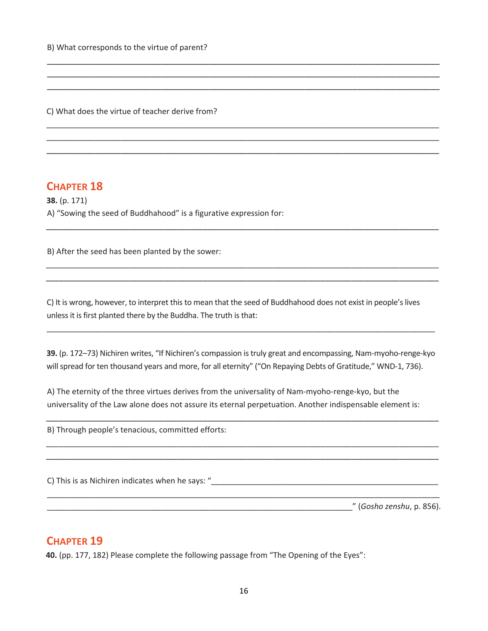C) What does the virtue of teacher derive from?

#### **CHAPTER 18**

**38.** (p. 171) A) "Sowing the seed of Buddhahood" is a figurative expression for:

B) After the seed has been planted by the sower:

C) It is wrong, however, to interpret this to mean that the seed of Buddhahood does not exist in people's lives unless it is first planted there by the Buddha. The truth is that:

\_\_\_\_\_\_\_\_\_\_\_\_\_\_\_\_\_\_\_\_\_\_\_\_\_\_\_\_\_\_\_\_\_\_\_\_\_\_\_\_\_\_\_\_\_\_\_\_\_\_\_\_\_\_\_\_\_\_\_\_\_\_\_\_\_\_\_\_\_\_\_\_\_\_\_\_\_\_\_\_\_\_\_\_\_\_\_\_\_\_ \_\_\_\_\_\_\_\_\_\_\_\_\_\_\_\_\_\_\_\_\_\_\_\_\_\_\_\_\_\_\_\_\_\_\_\_\_\_\_\_\_\_\_\_\_\_\_\_\_\_\_\_\_\_\_\_\_\_\_\_\_\_\_\_\_\_\_\_\_\_\_\_\_\_\_\_\_\_\_\_\_\_\_\_\_\_\_\_\_\_ \_\_\_\_\_\_\_\_\_\_\_\_\_\_\_\_\_\_\_\_\_\_\_\_\_\_\_\_\_\_\_\_\_\_\_\_\_\_\_\_\_\_\_\_\_\_\_\_\_\_\_\_\_\_\_\_\_\_\_\_\_\_\_\_\_\_\_\_\_\_\_\_\_\_\_\_\_\_\_\_\_\_\_\_\_\_\_\_\_\_

\_\_\_\_\_\_\_\_\_\_\_\_\_\_\_\_\_\_\_\_\_\_\_\_\_\_\_\_\_\_\_\_\_\_\_\_\_\_\_\_\_\_\_\_\_\_\_\_\_\_\_\_\_\_\_\_\_\_\_\_\_\_\_\_\_\_\_\_\_\_\_\_\_\_\_\_\_\_\_\_\_\_\_\_\_\_\_\_\_\_ \_\_\_\_\_\_\_\_\_\_\_\_\_\_\_\_\_\_\_\_\_\_\_\_\_\_\_\_\_\_\_\_\_\_\_\_\_\_\_\_\_\_\_\_\_\_\_\_\_\_\_\_\_\_\_\_\_\_\_\_\_\_\_\_\_\_\_\_\_\_\_\_\_\_\_\_\_\_\_\_\_\_\_\_\_\_\_\_\_\_ \_\_\_\_\_\_\_\_\_\_\_\_\_\_\_\_\_\_\_\_\_\_\_\_\_\_\_\_\_\_\_\_\_\_\_\_\_\_\_\_\_\_\_\_\_\_\_\_\_\_\_\_\_\_\_\_\_\_\_\_\_\_\_\_\_\_\_\_\_\_\_\_\_\_\_\_\_\_\_\_\_\_\_\_\_\_\_\_\_\_

\_\_\_\_\_\_\_\_\_\_\_\_\_\_\_\_\_\_\_\_\_\_\_\_\_\_\_\_\_\_\_\_\_\_\_\_\_\_\_\_\_\_\_\_\_\_\_\_\_\_\_\_\_\_\_\_\_\_\_\_\_\_\_\_\_\_\_\_\_\_\_\_\_\_\_\_\_\_\_\_\_\_\_\_\_\_\_\_\_\_

\_\_\_\_\_\_\_\_\_\_\_\_\_\_\_\_\_\_\_\_\_\_\_\_\_\_\_\_\_\_\_\_\_\_\_\_\_\_\_\_\_\_\_\_\_\_\_\_\_\_\_\_\_\_\_\_\_\_\_\_\_\_\_\_\_\_\_\_\_\_\_\_\_\_\_\_\_\_\_\_\_\_\_\_\_\_\_\_\_\_ \_\_\_\_\_\_\_\_\_\_\_\_\_\_\_\_\_\_\_\_\_\_\_\_\_\_\_\_\_\_\_\_\_\_\_\_\_\_\_\_\_\_\_\_\_\_\_\_\_\_\_\_\_\_\_\_\_\_\_\_\_\_\_\_\_\_\_\_\_\_\_\_\_\_\_\_\_\_\_\_\_\_\_\_\_\_\_\_\_\_

**39.** (p. 172–73) Nichiren writes, "If Nichiren's compassion is truly great and encompassing, Nam-myoho-renge-kyo will spread for ten thousand years and more, for all eternity" ("On Repaying Debts of Gratitude," WND-1, 736).

\_\_\_\_\_\_\_\_\_\_\_\_\_\_\_\_\_\_\_\_\_\_\_\_\_\_\_\_\_\_\_\_\_\_\_\_\_\_\_\_\_\_\_\_\_\_\_\_\_\_\_\_\_\_\_\_\_\_\_\_\_\_\_\_\_\_\_\_\_\_\_\_\_\_\_\_\_\_\_\_\_\_\_\_\_\_\_\_\_\_

\_\_\_\_\_\_\_\_\_\_\_\_\_\_\_\_\_\_\_\_\_\_\_\_\_\_\_\_\_\_\_\_\_\_\_\_\_\_\_\_\_\_\_\_\_\_\_\_\_\_\_\_\_\_\_\_\_\_\_\_\_\_\_\_\_\_\_\_\_\_\_\_\_\_\_\_\_\_\_\_\_\_\_\_\_\_\_\_\_\_ \_\_\_\_\_\_\_\_\_\_\_\_\_\_\_\_\_\_\_\_\_\_\_\_\_\_\_\_\_\_\_\_\_\_\_\_\_\_\_\_\_\_\_\_\_\_\_\_\_\_\_\_\_\_\_\_\_\_\_\_\_\_\_\_\_\_\_\_\_\_\_\_\_\_\_\_\_\_\_\_\_\_\_\_\_\_\_\_\_\_

\_\_\_\_\_\_\_\_\_\_\_\_\_\_\_\_\_\_\_\_\_\_\_\_\_\_\_\_\_\_\_\_\_\_\_\_\_\_\_\_\_\_\_\_\_\_\_\_\_\_\_\_\_\_\_\_\_\_\_\_\_\_\_\_\_\_\_\_\_\_\_\_\_\_\_\_\_\_\_\_\_\_\_\_\_\_\_\_\_\_

\_\_\_\_\_\_\_\_\_\_\_\_\_\_\_\_\_\_\_\_\_\_\_\_\_\_\_\_\_\_\_\_\_\_\_\_\_\_\_\_\_\_\_\_\_\_\_\_\_\_\_\_\_\_\_\_\_\_\_\_\_\_\_\_\_\_\_\_\_\_\_\_\_\_\_\_\_\_\_\_\_\_\_\_\_\_\_\_\_

A) The eternity of the three virtues derives from the universality of Nam-myoho-renge-kyo, but the universality of the Law alone does not assure its eternal perpetuation. Another indispensable element is:

B) Through people's tenacious, committed efforts:

C) This is as Nichiren indicates when he says: "\_\_\_\_\_\_\_\_\_\_\_\_\_\_\_\_\_\_\_\_\_\_\_\_\_\_\_\_\_\_\_\_\_\_\_\_\_\_\_\_\_\_\_\_\_\_\_\_\_\_\_\_

\_\_\_\_\_\_\_\_\_\_\_\_\_\_\_\_\_\_\_\_\_\_\_\_\_\_\_\_\_\_\_\_\_\_\_\_\_\_\_\_\_\_\_\_\_\_\_\_\_\_\_\_\_\_\_\_\_\_\_\_\_\_\_\_\_\_\_\_\_\_" (*Gosho zenshu*, p. 856).

#### **CHAPTER 19**

**40.** (pp. 177, 182) Please complete the following passage from "The Opening of the Eyes":